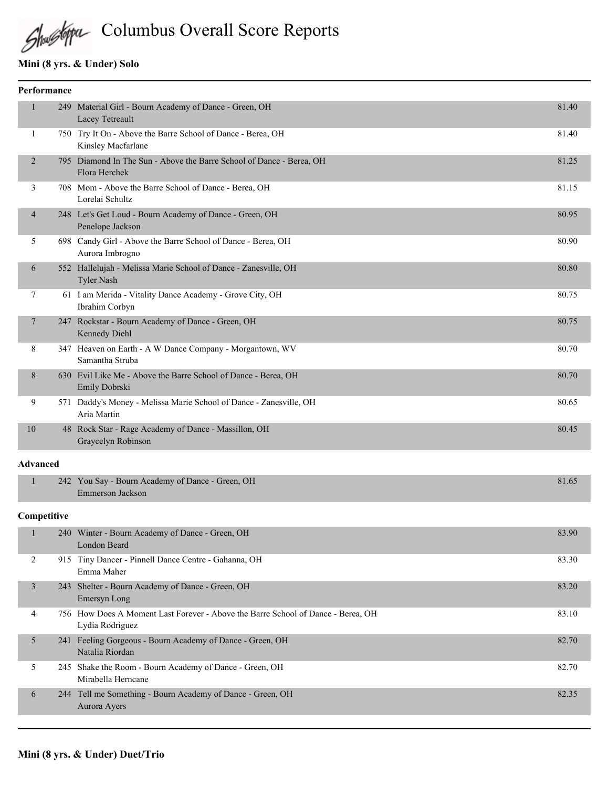# Shustopa Columbus Overall Score Reports

# **Mini (8 yrs. & Under) Solo**

| Performance    |                                                                                                     |       |
|----------------|-----------------------------------------------------------------------------------------------------|-------|
| 1              | 249 Material Girl - Bourn Academy of Dance - Green, OH<br>Lacey Tetreault                           | 81.40 |
| $\mathbf{1}$   | 750 Try It On - Above the Barre School of Dance - Berea, OH<br>Kinsley Macfarlane                   | 81.40 |
| $\overline{2}$ | 795 Diamond In The Sun - Above the Barre School of Dance - Berea, OH<br>Flora Herchek               | 81.25 |
| 3              | 708 Mom - Above the Barre School of Dance - Berea, OH<br>Lorelai Schultz                            | 81.15 |
| $\overline{4}$ | 248 Let's Get Loud - Bourn Academy of Dance - Green, OH<br>Penelope Jackson                         | 80.95 |
| 5              | 698 Candy Girl - Above the Barre School of Dance - Berea, OH<br>Aurora Imbrogno                     | 80.90 |
| 6              | 552 Hallelujah - Melissa Marie School of Dance - Zanesville, OH<br>Tyler Nash                       | 80.80 |
| 7              | 61 I am Merida - Vitality Dance Academy - Grove City, OH<br>Ibrahim Corbyn                          | 80.75 |
| 7              | 247 Rockstar - Bourn Academy of Dance - Green, OH<br>Kennedy Diehl                                  | 80.75 |
| 8              | 347 Heaven on Earth - A W Dance Company - Morgantown, WV<br>Samantha Struba                         | 80.70 |
| 8              | 630 Evil Like Me - Above the Barre School of Dance - Berea, OH<br>Emily Dobrski                     | 80.70 |
| 9              | 571 Daddy's Money - Melissa Marie School of Dance - Zanesville, OH<br>Aria Martin                   | 80.65 |
| 10             | 48 Rock Star - Rage Academy of Dance - Massillon, OH<br>Graycelyn Robinson                          | 80.45 |
| Advanced       |                                                                                                     |       |
| $\mathbf{1}$   | 242 You Say - Bourn Academy of Dance - Green, OH<br>Emmerson Jackson                                | 81.65 |
| Competitive    |                                                                                                     |       |
| 1              | 240 Winter - Bourn Academy of Dance - Green, OH<br><b>London Beard</b>                              | 83.90 |
| $\overline{2}$ | 915 Tiny Dancer - Pinnell Dance Centre - Gahanna, OH<br>Emma Maher                                  | 83.30 |
| $\overline{3}$ | 243 Shelter - Bourn Academy of Dance - Green, OH<br>Emersyn Long                                    | 83.20 |
| 4              | 756 How Does A Moment Last Forever - Above the Barre School of Dance - Berea, OH<br>Lydia Rodriguez | 83.10 |
| 5              | 241 Feeling Gorgeous - Bourn Academy of Dance - Green, OH                                           | 82.70 |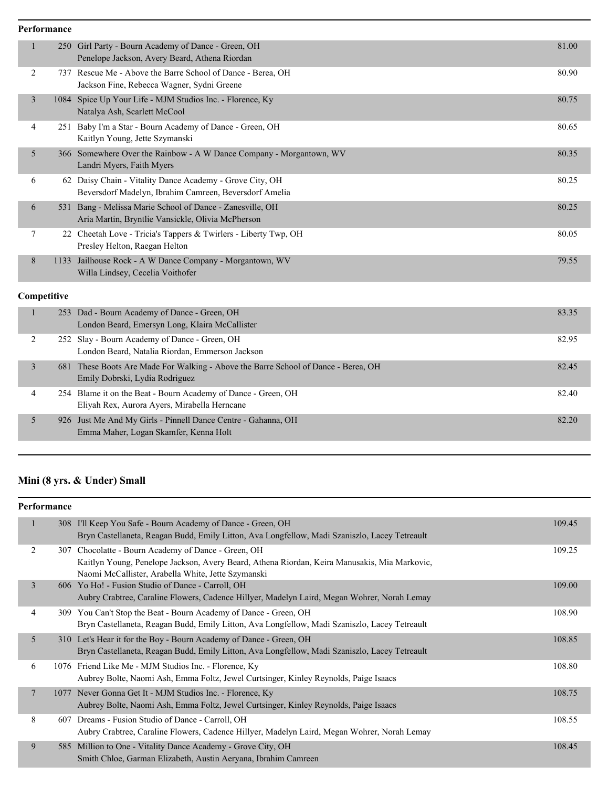|                | Performance |                                                                                                                      |       |
|----------------|-------------|----------------------------------------------------------------------------------------------------------------------|-------|
| $\mathbf{1}$   |             | 250 Girl Party - Bourn Academy of Dance - Green, OH<br>Penelope Jackson, Avery Beard, Athena Riordan                 | 81.00 |
| $\overline{2}$ |             | 737 Rescue Me - Above the Barre School of Dance - Berea, OH<br>Jackson Fine, Rebecca Wagner, Sydni Greene            | 80.90 |
| 3              |             | 1084 Spice Up Your Life - MJM Studios Inc. - Florence, Ky<br>Natalya Ash, Scarlett McCool                            | 80.75 |
| 4              |             | 251 Baby I'm a Star - Bourn Academy of Dance - Green, OH<br>Kaitlyn Young, Jette Szymanski                           | 80.65 |
| 5              |             | 366 Somewhere Over the Rainbow - A W Dance Company - Morgantown, WV<br>Landri Myers, Faith Myers                     | 80.35 |
| 6              |             | 62 Daisy Chain - Vitality Dance Academy - Grove City, OH<br>Beversdorf Madelyn, Ibrahim Camreen, Beversdorf Amelia   | 80.25 |
| 6              |             | 531 Bang - Melissa Marie School of Dance - Zanesville, OH<br>Aria Martin, Bryntlie Vansickle, Olivia McPherson       | 80.25 |
| 7              |             | 22 Cheetah Love - Tricia's Tappers & Twirlers - Liberty Twp, OH<br>Presley Helton, Raegan Helton                     | 80.05 |
| 8              |             | 1133 Jailhouse Rock - A W Dance Company - Morgantown, WV<br>Willa Lindsey, Cecelia Voithofer                         | 79.55 |
|                | Competitive |                                                                                                                      |       |
| $\mathbf{1}$   |             | 253 Dad - Bourn Academy of Dance - Green, OH<br>London Beard, Emersyn Long, Klaira McCallister                       | 83.35 |
| $\overline{2}$ |             | 252 Slay - Bourn Academy of Dance - Green, OH<br>London Beard, Natalia Riordan, Emmerson Jackson                     | 82.95 |
| $\mathfrak{Z}$ |             | 681 These Boots Are Made For Walking - Above the Barre School of Dance - Berea, OH<br>Emily Dobrski, Lydia Rodriguez | 82.45 |
| 4              |             | 254 Blame it on the Beat - Bourn Academy of Dance - Green, OH<br>Eliyah Rex, Aurora Ayers, Mirabella Herncane        | 82.40 |
| 5              |             | 926 Just Me And My Girls - Pinnell Dance Centre - Gahanna, OH<br>Emma Maher, Logan Skamfer, Kenna Holt               | 82.20 |

# **Mini (8 yrs. & Under) Small**

| Performance    |     |                                                                                                                                                                                                       |        |
|----------------|-----|-------------------------------------------------------------------------------------------------------------------------------------------------------------------------------------------------------|--------|
|                |     | 308 I'll Keep You Safe - Bourn Academy of Dance - Green, OH<br>Bryn Castellaneta, Reagan Budd, Emily Litton, Ava Longfellow, Madi Szaniszlo, Lacey Tetreault                                          | 109.45 |
| 2              | 307 | Chocolatte - Bourn Academy of Dance - Green, OH<br>Kaitlyn Young, Penelope Jackson, Avery Beard, Athena Riordan, Keira Manusakis, Mia Markovic,<br>Naomi McCallister, Arabella White, Jette Szymanski | 109.25 |
| 3              |     | 606 Yo Ho! - Fusion Studio of Dance - Carroll, OH<br>Aubry Crabtree, Caraline Flowers, Cadence Hillyer, Madelyn Laird, Megan Wohrer, Norah Lemay                                                      | 109.00 |
| 4              |     | 309 You Can't Stop the Beat - Bourn Academy of Dance - Green, OH<br>Bryn Castellaneta, Reagan Budd, Emily Litton, Ava Longfellow, Madi Szaniszlo, Lacey Tetreault                                     | 108.90 |
| 5              |     | 310 Let's Hear it for the Boy - Bourn Academy of Dance - Green, OH<br>Bryn Castellaneta, Reagan Budd, Emily Litton, Ava Longfellow, Madi Szaniszlo, Lacey Tetreault                                   | 108.85 |
| 6              |     | 1076 Friend Like Me - MJM Studios Inc. - Florence, Ky<br>Aubrey Bolte, Naomi Ash, Emma Foltz, Jewel Curtsinger, Kinley Reynolds, Paige Isaacs                                                         | 108.80 |
| $\overline{7}$ |     | 1077 Never Gonna Get It - MJM Studios Inc. - Florence, Ky<br>Aubrey Bolte, Naomi Ash, Emma Foltz, Jewel Curtsinger, Kinley Reynolds, Paige Isaacs                                                     | 108.75 |
| 8              | 607 | Dreams - Fusion Studio of Dance - Carroll, OH<br>Aubry Crabtree, Caraline Flowers, Cadence Hillyer, Madelyn Laird, Megan Wohrer, Norah Lemay                                                          | 108.55 |
| 9              |     | 585 Million to One - Vitality Dance Academy - Grove City, OH<br>Smith Chloe, Garman Elizabeth, Austin Aeryana, Ibrahim Camreen                                                                        | 108.45 |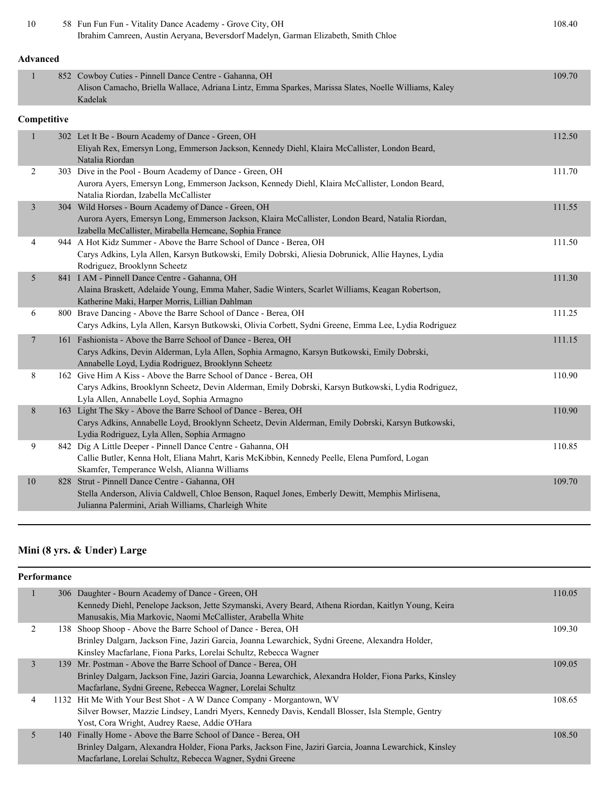|                 |             | Ibrahim Camreen, Austin Aeryana, Beversdorf Madelyn, Garman Elizabeth, Smith Chloe                                                                                                                                    |        |
|-----------------|-------------|-----------------------------------------------------------------------------------------------------------------------------------------------------------------------------------------------------------------------|--------|
| <b>Advanced</b> |             |                                                                                                                                                                                                                       |        |
| $\mathbf{1}$    |             | 852 Cowboy Cuties - Pinnell Dance Centre - Gahanna, OH<br>Alison Camacho, Briella Wallace, Adriana Lintz, Emma Sparkes, Marissa Slates, Noelle Williams, Kaley<br>Kadelak                                             | 109.70 |
|                 | Competitive |                                                                                                                                                                                                                       |        |
| $\mathbf{1}$    |             | 302 Let It Be - Bourn Academy of Dance - Green, OH<br>Eliyah Rex, Emersyn Long, Emmerson Jackson, Kennedy Diehl, Klaira McCallister, London Beard,<br>Natalia Riordan                                                 | 112.50 |
| $\overline{2}$  |             | 303 Dive in the Pool - Bourn Academy of Dance - Green, OH<br>Aurora Ayers, Emersyn Long, Emmerson Jackson, Kennedy Diehl, Klaira McCallister, London Beard,<br>Natalia Riordan, Izabella McCallister                  | 111.70 |
| $\mathfrak{Z}$  |             | 304 Wild Horses - Bourn Academy of Dance - Green, OH<br>Aurora Ayers, Emersyn Long, Emmerson Jackson, Klaira McCallister, London Beard, Natalia Riordan,<br>Izabella McCallister, Mirabella Herncane, Sophia France   | 111.55 |
| 4               |             | 944 A Hot Kidz Summer - Above the Barre School of Dance - Berea, OH<br>Carys Adkins, Lyla Allen, Karsyn Butkowski, Emily Dobrski, Aliesia Dobrunick, Allie Haynes, Lydia<br>Rodriguez, Brooklynn Scheetz              | 111.50 |
| 5               |             | 841 I AM - Pinnell Dance Centre - Gahanna, OH<br>Alaina Braskett, Adelaide Young, Emma Maher, Sadie Winters, Scarlet Williams, Keagan Robertson,<br>Katherine Maki, Harper Morris, Lillian Dahlman                    | 111.30 |
| 6               |             | 800 Brave Dancing - Above the Barre School of Dance - Berea, OH<br>Carys Adkins, Lyla Allen, Karsyn Butkowski, Olivia Corbett, Sydni Greene, Emma Lee, Lydia Rodriguez                                                | 111.25 |
| $\overline{7}$  |             | 161 Fashionista - Above the Barre School of Dance - Berea, OH<br>Carys Adkins, Devin Alderman, Lyla Allen, Sophia Armagno, Karsyn Butkowski, Emily Dobrski,<br>Annabelle Loyd, Lydia Rodriguez, Brooklynn Scheetz     | 111.15 |
| 8               |             | 162 Give Him A Kiss - Above the Barre School of Dance - Berea, OH<br>Carys Adkins, Brooklynn Scheetz, Devin Alderman, Emily Dobrski, Karsyn Butkowski, Lydia Rodriguez,<br>Lyla Allen, Annabelle Loyd, Sophia Armagno | 110.90 |
| $8\,$           |             | 163 Light The Sky - Above the Barre School of Dance - Berea, OH<br>Carys Adkins, Annabelle Loyd, Brooklynn Scheetz, Devin Alderman, Emily Dobrski, Karsyn Butkowski,<br>Lydia Rodriguez, Lyla Allen, Sophia Armagno   | 110.90 |
| 9               |             | 842 Dig A Little Deeper - Pinnell Dance Centre - Gahanna, OH<br>Callie Butler, Kenna Holt, Eliana Mahrt, Karis McKibbin, Kennedy Peelle, Elena Pumford, Logan<br>Skamfer, Temperance Welsh, Alianna Williams          | 110.85 |
| $10\,$          |             | 828 Strut - Pinnell Dance Centre - Gahanna, OH<br>Stella Anderson, Alivia Caldwell, Chloe Benson, Raquel Jones, Emberly Dewitt, Memphis Mirlisena,<br>Julianna Palermini, Ariah Williams, Charleigh White             | 109.70 |

10 58 Fun Fun Fun - Vitality Dance Academy - Grove City, OH 108.40

#### **Mini (8 yrs. & Under) Large**

**Performance** 1 306 Daughter - Bourn Academy of Dance - Green, OH 110.05 Kennedy Diehl, Penelope Jackson, Jette Szymanski, Avery Beard, Athena Riordan, Kaitlyn Young, Keira Manusakis, Mia Markovic, Naomi McCallister, Arabella White 2 138 Shoop Shoop - Above the Barre School of Dance - Berea, OH 109.30 Brinley Dalgarn, Jackson Fine, Jaziri Garcia, Joanna Lewarchick, Sydni Greene, Alexandra Holder, Kinsley Macfarlane, Fiona Parks, Lorelai Schultz, Rebecca Wagner 3 139 Mr. Postman - Above the Barre School of Dance - Berea, OH 109.05 Brinley Dalgarn, Jackson Fine, Jaziri Garcia, Joanna Lewarchick, Alexandra Holder, Fiona Parks, Kinsley Macfarlane, Sydni Greene, Rebecca Wagner, Lorelai Schultz 4 1132 Hit Me With Your Best Shot - A W Dance Company - Morgantown, WV 108.65 Silver Bowser, Mazzie Lindsey, Landri Myers, Kennedy Davis, Kendall Blosser, Isla Stemple, Gentry Yost, Cora Wright, Audrey Raese, Addie O'Hara 5 140 Finally Home - Above the Barre School of Dance - Berea, OH 108.50 Brinley Dalgarn, Alexandra Holder, Fiona Parks, Jackson Fine, Jaziri Garcia, Joanna Lewarchick, Kinsley Macfarlane, Lorelai Schultz, Rebecca Wagner, Sydni Greene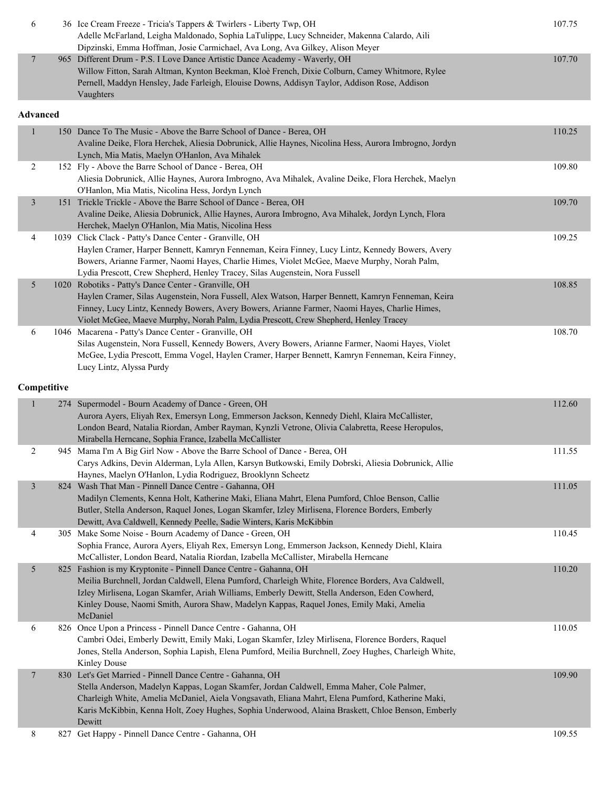| 6 | 36 Ice Cream Freeze - Tricia's Tappers & Twirlers - Liberty Twp, OH                            | 107.75 |
|---|------------------------------------------------------------------------------------------------|--------|
|   | Adelle McFarland, Leigha Maldonado, Sophia LaTulippe, Lucy Schneider, Makenna Calardo, Aili    |        |
|   | Dipzinski, Emma Hoffman, Josie Carmichael, Ava Long, Ava Gilkey, Alison Meyer                  |        |
|   | 965 Different Drum - P.S. I Love Dance Artistic Dance Academy - Waverly, OH                    | 107.70 |
|   | Willow Fitton, Sarah Altman, Kynton Beekman, Kloè French, Dixie Colburn, Camey Whitmore, Rylee |        |
|   | Pernell, Maddyn Hensley, Jade Farleigh, Elouise Downs, Addisyn Taylor, Addison Rose, Addison   |        |
|   | Vaughters                                                                                      |        |

#### **Advanced**

| $\mathbf{1}$   |             | 150 Dance To The Music - Above the Barre School of Dance - Berea, OH                                  | 110.25 |
|----------------|-------------|-------------------------------------------------------------------------------------------------------|--------|
|                |             | Avaline Deike, Flora Herchek, Aliesia Dobrunick, Allie Haynes, Nicolina Hess, Aurora Imbrogno, Jordyn |        |
|                |             | Lynch, Mia Matis, Maelyn O'Hanlon, Ava Mihalek                                                        |        |
| 2              |             | 152 Fly - Above the Barre School of Dance - Berea, OH                                                 | 109.80 |
|                |             | Aliesia Dobrunick, Allie Haynes, Aurora Imbrogno, Ava Mihalek, Avaline Deike, Flora Herchek, Maelyn   |        |
|                |             | O'Hanlon, Mia Matis, Nicolina Hess, Jordyn Lynch                                                      |        |
| $\mathfrak{Z}$ |             | 151 Trickle Trickle - Above the Barre School of Dance - Berea, OH                                     | 109.70 |
|                |             | Avaline Deike, Aliesia Dobrunick, Allie Haynes, Aurora Imbrogno, Ava Mihalek, Jordyn Lynch, Flora     |        |
|                |             | Herchek, Maelyn O'Hanlon, Mia Matis, Nicolina Hess                                                    |        |
| $\overline{4}$ |             | 1039 Click Clack - Patty's Dance Center - Granville, OH                                               | 109.25 |
|                |             | Haylen Cramer, Harper Bennett, Kamryn Fenneman, Keira Finney, Lucy Lintz, Kennedy Bowers, Avery       |        |
|                |             | Bowers, Arianne Farmer, Naomi Hayes, Charlie Himes, Violet McGee, Maeve Murphy, Norah Palm,           |        |
|                |             | Lydia Prescott, Crew Shepherd, Henley Tracey, Silas Augenstein, Nora Fussell                          |        |
| 5              |             | 1020 Robotiks - Patty's Dance Center - Granville, OH                                                  | 108.85 |
|                |             | Haylen Cramer, Silas Augenstein, Nora Fussell, Alex Watson, Harper Bennett, Kamryn Fenneman, Keira    |        |
|                |             | Finney, Lucy Lintz, Kennedy Bowers, Avery Bowers, Arianne Farmer, Naomi Hayes, Charlie Himes,         |        |
|                |             | Violet McGee, Maeve Murphy, Norah Palm, Lydia Prescott, Crew Shepherd, Henley Tracey                  |        |
| 6              |             | 1046 Macarena - Patty's Dance Center - Granville, OH                                                  | 108.70 |
|                |             | Silas Augenstein, Nora Fussell, Kennedy Bowers, Avery Bowers, Arianne Farmer, Naomi Hayes, Violet     |        |
|                |             | McGee, Lydia Prescott, Emma Vogel, Haylen Cramer, Harper Bennett, Kamryn Fenneman, Keira Finney,      |        |
|                |             | Lucy Lintz, Alyssa Purdy                                                                              |        |
|                | Competitive |                                                                                                       |        |
|                |             |                                                                                                       |        |
| 1              |             | 274 Supermodel - Bourn Academy of Dance - Green, OH                                                   | 112.60 |
|                |             | Aurora Ayers, Eliyah Rex, Emersyn Long, Emmerson Jackson, Kennedy Diehl, Klaira McCallister,          |        |
|                |             | London Beard, Natalia Riordan, Amber Rayman, Kynzli Vetrone, Olivia Calabretta, Reese Heropulos,      |        |
|                |             | Mirabella Herncane, Sophia France, Izabella McCallister                                               |        |
| 2              |             | 945 Mama I'm A Big Girl Now - Above the Barre School of Dance - Berea, OH                             | 111.55 |
|                |             | Carys Adkins, Devin Alderman, Lyla Allen, Karsyn Butkowski, Emily Dobrski, Aliesia Dobrunick, Allie   |        |
|                |             | Haynes, Maelyn O'Hanlon, Lydia Rodriguez, Brooklynn Scheetz                                           |        |
| $\mathfrak{Z}$ |             | 824 Wash That Man - Pinnell Dance Centre - Gahanna, OH                                                | 111.05 |
|                |             | Madilyn Clements, Kenna Holt, Katherine Maki, Eliana Mahrt, Elena Pumford, Chloe Benson, Callie       |        |
|                |             | Butler, Stella Anderson, Raquel Jones, Logan Skamfer, Izley Mirlisena, Florence Borders, Emberly      |        |
|                |             | Dewitt, Ava Caldwell, Kennedy Peelle, Sadie Winters, Karis McKibbin                                   |        |
| 4              |             | 305 Make Some Noise - Bourn Academy of Dance - Green, OH                                              | 110.45 |
|                |             | Sophia France, Aurora Ayers, Eliyah Rex, Emersyn Long, Emmerson Jackson, Kennedy Diehl, Klaira        |        |
|                |             | McCallister, London Beard, Natalia Riordan, Izabella McCallister, Mirabella Herncane                  |        |

 5 825 Fashion is my Kryptonite - Pinnell Dance Centre - Gahanna, OH 110.20 Meilia Burchnell, Jordan Caldwell, Elena Pumford, Charleigh White, Florence Borders, Ava Caldwell, Izley Mirlisena, Logan Skamfer, Ariah Williams, Emberly Dewitt, Stella Anderson, Eden Cowherd, Kinley Douse, Naomi Smith, Aurora Shaw, Madelyn Kappas, Raquel Jones, Emily Maki, Amelia McDaniel 6 826 Once Upon a Princess - Pinnell Dance Centre - Gahanna, OH 110.05 Cambri Odei, Emberly Dewitt, Emily Maki, Logan Skamfer, Izley Mirlisena, Florence Borders, Raquel Jones, Stella Anderson, Sophia Lapish, Elena Pumford, Meilia Burchnell, Zoey Hughes, Charleigh White, Kinley Douse 7 830 Let's Get Married - Pinnell Dance Centre - Gahanna, OH 109.90 Stella Anderson, Madelyn Kappas, Logan Skamfer, Jordan Caldwell, Emma Maher, Cole Palmer, Charleigh White, Amelia McDaniel, Aiela Vongsavath, Eliana Mahrt, Elena Pumford, Katherine Maki, Karis McKibbin, Kenna Holt, Zoey Hughes, Sophia Underwood, Alaina Braskett, Chloe Benson, Emberly Dewitt

8 827 Get Happy - Pinnell Dance Centre - Gahanna, OH 109.55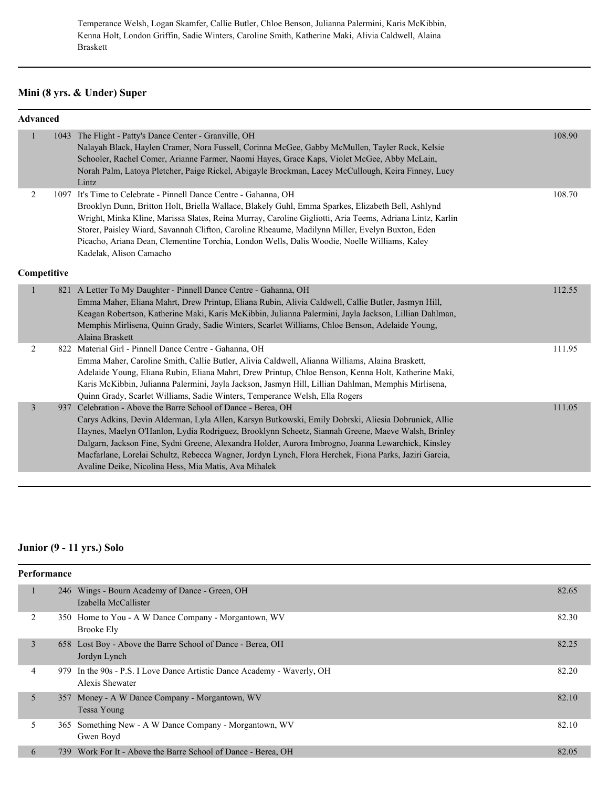Temperance Welsh, Logan Skamfer, Callie Butler, Chloe Benson, Julianna Palermini, Karis McKibbin, Kenna Holt, London Griffin, Sadie Winters, Caroline Smith, Katherine Maki, Alivia Caldwell, Alaina Braskett

## **Mini (8 yrs. & Under) Super**

| Advanced       |     |                                                                                                                                                                                                                                                                                                                                                                                                                                                                                                                                              |        |  |
|----------------|-----|----------------------------------------------------------------------------------------------------------------------------------------------------------------------------------------------------------------------------------------------------------------------------------------------------------------------------------------------------------------------------------------------------------------------------------------------------------------------------------------------------------------------------------------------|--------|--|
| $\mathbf{1}$   |     | 1043 The Flight - Patty's Dance Center - Granville, OH<br>Nalayah Black, Haylen Cramer, Nora Fussell, Corinna McGee, Gabby McMullen, Tayler Rock, Kelsie<br>Schooler, Rachel Comer, Arianne Farmer, Naomi Hayes, Grace Kaps, Violet McGee, Abby McLain,<br>Norah Palm, Latoya Pletcher, Paige Rickel, Abigayle Brockman, Lacey McCullough, Keira Finney, Lucy<br>Lintz                                                                                                                                                                       | 108.90 |  |
| 2              |     | 1097 It's Time to Celebrate - Pinnell Dance Centre - Gahanna, OH<br>Brooklyn Dunn, Britton Holt, Briella Wallace, Blakely Guhl, Emma Sparkes, Elizabeth Bell, Ashlynd<br>Wright, Minka Kline, Marissa Slates, Reina Murray, Caroline Gigliotti, Aria Teems, Adriana Lintz, Karlin<br>Storer, Paisley Wiard, Savannah Clifton, Caroline Rheaume, Madilynn Miller, Evelyn Buxton, Eden<br>Picacho, Ariana Dean, Clementine Torchia, London Wells, Dalis Woodie, Noelle Williams, Kaley<br>Kadelak, Alison Camacho                              | 108.70 |  |
| Competitive    |     |                                                                                                                                                                                                                                                                                                                                                                                                                                                                                                                                              |        |  |
| $\mathbf{1}$   |     | 821 A Letter To My Daughter - Pinnell Dance Centre - Gahanna, OH<br>Emma Maher, Eliana Mahrt, Drew Printup, Eliana Rubin, Alivia Caldwell, Callie Butler, Jasmyn Hill,<br>Keagan Robertson, Katherine Maki, Karis McKibbin, Julianna Palermini, Jayla Jackson, Lillian Dahlman,<br>Memphis Mirlisena, Quinn Grady, Sadie Winters, Scarlet Williams, Chloe Benson, Adelaide Young,<br>Alaina Braskett                                                                                                                                         | 112.55 |  |
| 2              |     | 822 Material Girl - Pinnell Dance Centre - Gahanna, OH<br>Emma Maher, Caroline Smith, Callie Butler, Alivia Caldwell, Alianna Williams, Alaina Braskett,<br>Adelaide Young, Eliana Rubin, Eliana Mahrt, Drew Printup, Chloe Benson, Kenna Holt, Katherine Maki,<br>Karis McKibbin, Julianna Palermini, Jayla Jackson, Jasmyn Hill, Lillian Dahlman, Memphis Mirlisena,<br>Quinn Grady, Scarlet Williams, Sadie Winters, Temperance Welsh, Ella Rogers                                                                                        | 111.95 |  |
| $\overline{3}$ | 937 | Celebration - Above the Barre School of Dance - Berea, OH<br>Carys Adkins, Devin Alderman, Lyla Allen, Karsyn Butkowski, Emily Dobrski, Aliesia Dobrunick, Allie<br>Haynes, Maelyn O'Hanlon, Lydia Rodriguez, Brooklynn Scheetz, Siannah Greene, Maeve Walsh, Brinley<br>Dalgarn, Jackson Fine, Sydni Greene, Alexandra Holder, Aurora Imbrogno, Joanna Lewarchick, Kinsley<br>Macfarlane, Lorelai Schultz, Rebecca Wagner, Jordyn Lynch, Flora Herchek, Fiona Parks, Jaziri Garcia,<br>Avaline Deike, Nicolina Hess, Mia Matis, Ava Mihalek | 111.05 |  |

# **Junior (9 - 11 yrs.) Solo**

|   | <b>Performance</b> |                                                                                        |       |  |  |
|---|--------------------|----------------------------------------------------------------------------------------|-------|--|--|
|   |                    | 246 Wings - Bourn Academy of Dance - Green, OH<br>Izabella McCallister                 | 82.65 |  |  |
| 2 |                    | 350 Home to You - A W Dance Company - Morgantown, WV<br>Brooke Ely                     | 82.30 |  |  |
| 3 |                    | 658 Lost Boy - Above the Barre School of Dance - Berea, OH<br>Jordyn Lynch             | 82.25 |  |  |
| 4 | 979.               | In the 90s - P.S. I Love Dance Artistic Dance Academy - Waverly, OH<br>Alexis Shewater | 82.20 |  |  |
| 5 |                    | 357 Money - A W Dance Company - Morgantown, WV<br>Tessa Young                          | 82.10 |  |  |
| 5 | 365                | Something New - A W Dance Company - Morgantown, WV<br>Gwen Boyd                        | 82.10 |  |  |
| 6 | 739                | Work For It - Above the Barre School of Dance - Berea, OH                              | 82.05 |  |  |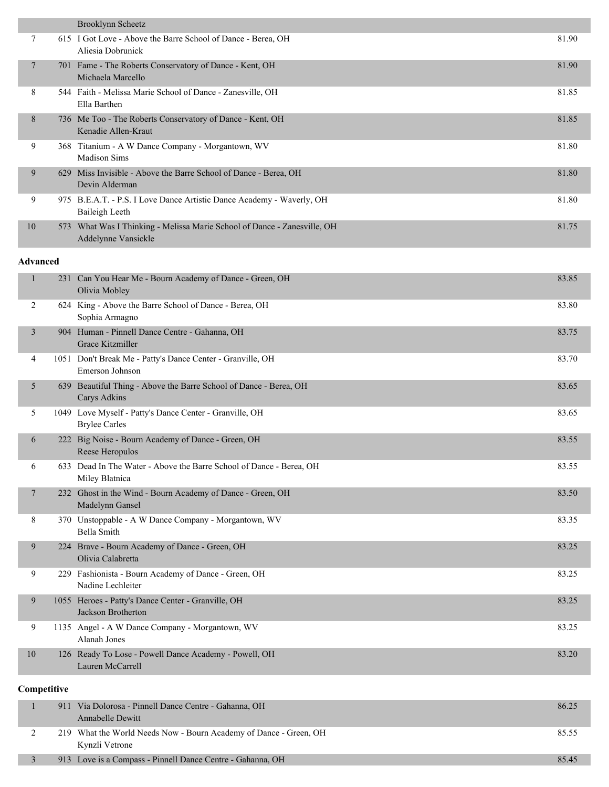|                 |             | Brooklynn Scheetz                                                                               |       |
|-----------------|-------------|-------------------------------------------------------------------------------------------------|-------|
| 7               |             | 615 I Got Love - Above the Barre School of Dance - Berea, OH<br>Aliesia Dobrunick               | 81.90 |
| 7               |             | 701 Fame - The Roberts Conservatory of Dance - Kent, OH<br>Michaela Marcello                    | 81.90 |
| 8               |             | 544 Faith - Melissa Marie School of Dance - Zanesville, OH<br>Ella Barthen                      | 81.85 |
| 8               |             | 736 Me Too - The Roberts Conservatory of Dance - Kent, OH<br>Kenadie Allen-Kraut                | 81.85 |
| 9               |             | 368 Titanium - A W Dance Company - Morgantown, WV<br><b>Madison Sims</b>                        | 81.80 |
| 9               |             | 629 Miss Invisible - Above the Barre School of Dance - Berea, OH<br>Devin Alderman              | 81.80 |
| 9               |             | 975 B.E.A.T. - P.S. I Love Dance Artistic Dance Academy - Waverly, OH<br>Baileigh Leeth         | 81.80 |
| 10              |             | 573 What Was I Thinking - Melissa Marie School of Dance - Zanesville, OH<br>Addelynne Vansickle | 81.75 |
| <b>Advanced</b> |             |                                                                                                 |       |
| $\mathbf{1}$    |             | 231 Can You Hear Me - Bourn Academy of Dance - Green, OH<br>Olivia Mobley                       | 83.85 |
| 2               |             | 624 King - Above the Barre School of Dance - Berea, OH<br>Sophia Armagno                        | 83.80 |
| 3               |             | 904 Human - Pinnell Dance Centre - Gahanna, OH<br>Grace Kitzmiller                              | 83.75 |
| 4               |             | 1051 Don't Break Me - Patty's Dance Center - Granville, OH<br>Emerson Johnson                   | 83.70 |
| 5               |             | 639 Beautiful Thing - Above the Barre School of Dance - Berea, OH<br>Carys Adkins               | 83.65 |
| 5               |             | 1049 Love Myself - Patty's Dance Center - Granville, OH<br><b>Brylee Carles</b>                 | 83.65 |
| 6               |             | 222 Big Noise - Bourn Academy of Dance - Green, OH<br>Reese Heropulos                           | 83.55 |
| 6               |             | 633 Dead In The Water - Above the Barre School of Dance - Berea, OH<br>Miley Blatnica           | 83.55 |
| 7               |             | 232 Ghost in the Wind - Bourn Academy of Dance - Green, OH<br>Madelynn Gansel                   | 83.50 |
| 8               |             | 370 Unstoppable - A W Dance Company - Morgantown, WV<br>Bella Smith                             | 83.35 |
| 9               |             | 224 Brave - Bourn Academy of Dance - Green, OH<br>Olivia Calabretta                             | 83.25 |
| 9               |             | 229 Fashionista - Bourn Academy of Dance - Green, OH<br>Nadine Lechleiter                       | 83.25 |
| 9               |             | 1055 Heroes - Patty's Dance Center - Granville, OH<br>Jackson Brotherton                        | 83.25 |
| 9               |             | 1135 Angel - A W Dance Company - Morgantown, WV<br>Alanah Jones                                 | 83.25 |
| $10\,$          |             | 126 Ready To Lose - Powell Dance Academy - Powell, OH<br>Lauren McCarrell                       | 83.20 |
|                 | Competitive |                                                                                                 |       |
| $\mathbf{1}$    |             | 911 Via Dolorosa - Pinnell Dance Centre - Gahanna, OH<br>Annabelle Dewitt                       | 86.25 |
| 2               |             | 219 What the World Needs Now - Bourn Academy of Dance - Green, OH<br>Kynzli Vetrone             | 85.55 |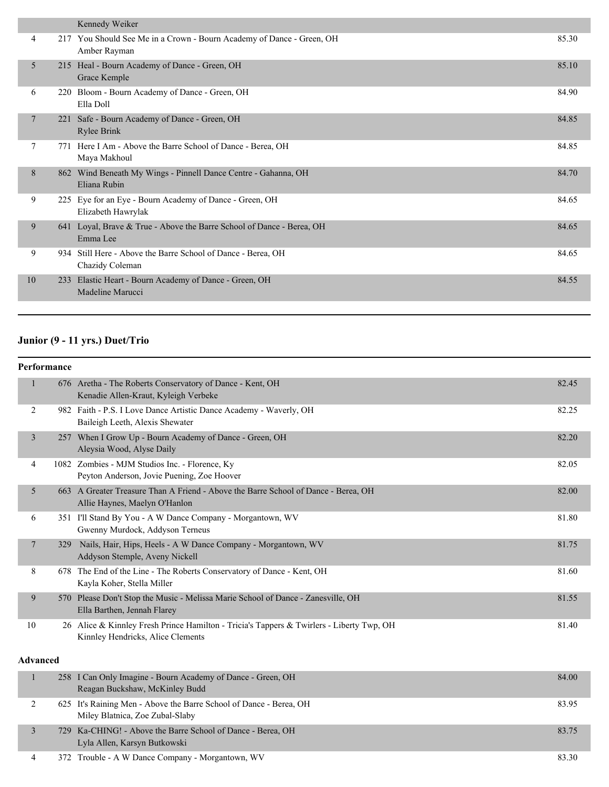|    |            | Kennedy Weiker                                                        |       |
|----|------------|-----------------------------------------------------------------------|-------|
| 4  |            | 217 You Should See Me in a Crown - Bourn Academy of Dance - Green, OH | 85.30 |
|    |            | Amber Rayman                                                          |       |
| 5  |            | 215 Heal - Bourn Academy of Dance - Green, OH                         | 85.10 |
|    |            | Grace Kemple                                                          |       |
| 6  | <b>220</b> | Bloom - Bourn Academy of Dance - Green, OH                            | 84.90 |
|    |            | Ella Doll                                                             |       |
| 7  | 221        | Safe - Bourn Academy of Dance - Green, OH                             | 84.85 |
|    |            | Rylee Brink                                                           |       |
| 7  | 771        | Here I Am - Above the Barre School of Dance - Berea, OH               | 84.85 |
|    |            | Maya Makhoul                                                          |       |
| 8  | 862        | Wind Beneath My Wings - Pinnell Dance Centre - Gahanna, OH            | 84.70 |
|    |            | Eliana Rubin                                                          |       |
| 9  |            | 225 Eye for an Eye - Bourn Academy of Dance - Green, OH               | 84.65 |
|    |            | Elizabeth Hawrylak                                                    |       |
| 9  | 641        | Loyal, Brave & True - Above the Barre School of Dance - Berea, OH     | 84.65 |
|    |            | Emma Lee                                                              |       |
| 9  | 934        | Still Here - Above the Barre School of Dance - Berea, OH              | 84.65 |
|    |            | Chazidy Coleman                                                       |       |
| 10 | 233        | Elastic Heart - Bourn Academy of Dance - Green, OH                    | 84.55 |
|    |            | Madeline Marucci                                                      |       |
|    |            |                                                                       |       |

# **Junior (9 - 11 yrs.) Duet/Trio**

| Performance     |     |                                                                                                                               |       |
|-----------------|-----|-------------------------------------------------------------------------------------------------------------------------------|-------|
|                 |     | 676 Aretha - The Roberts Conservatory of Dance - Kent, OH<br>Kenadie Allen-Kraut, Kyleigh Verbeke                             | 82.45 |
| 2               |     | 982 Faith - P.S. I Love Dance Artistic Dance Academy - Waverly, OH<br>Baileigh Leeth, Alexis Shewater                         | 82.25 |
| 3               |     | 257 When I Grow Up - Bourn Academy of Dance - Green, OH<br>Aleysia Wood, Alyse Daily                                          | 82.20 |
| 4               |     | 1082 Zombies - MJM Studios Inc. - Florence, Ky<br>Peyton Anderson, Jovie Puening, Zoe Hoover                                  | 82.05 |
| 5               |     | 663 A Greater Treasure Than A Friend - Above the Barre School of Dance - Berea, OH<br>Allie Haynes, Maelyn O'Hanlon           | 82.00 |
| 6               |     | 351 I'll Stand By You - A W Dance Company - Morgantown, WV<br>Gwenny Murdock, Addyson Terneus                                 | 81.80 |
| $\overline{7}$  | 329 | Nails, Hair, Hips, Heels - A W Dance Company - Morgantown, WV<br>Addyson Stemple, Aveny Nickell                               | 81.75 |
| 8               |     | 678 The End of the Line - The Roberts Conservatory of Dance - Kent, OH<br>Kayla Koher, Stella Miller                          | 81.60 |
| 9               |     | 570 Please Don't Stop the Music - Melissa Marie School of Dance - Zanesville, OH<br>Ella Barthen, Jennah Flarey               | 81.55 |
| 10              |     | 26 Alice & Kinnley Fresh Prince Hamilton - Tricia's Tappers & Twirlers - Liberty Twp, OH<br>Kinnley Hendricks, Alice Clements | 81.40 |
| <b>Advanced</b> |     |                                                                                                                               |       |
| $\mathbf{1}$    |     | 258 I Can Only Imagine - Bourn Academy of Dance - Green, OH<br>Reagan Buckshaw, McKinley Budd                                 | 84.00 |
| 2               |     | 625 It's Raining Men - Above the Barre School of Dance - Berea, OH<br>Miley Blatnica, Zoe Zubal-Slaby                         | 83.95 |
| 3               |     | 729 Ka-CHING! - Above the Barre School of Dance - Berea, OH<br>Lyla Allen, Karsyn Butkowski                                   | 83.75 |

4 372 Trouble - A W Dance Company - Morgantown, WV 83.30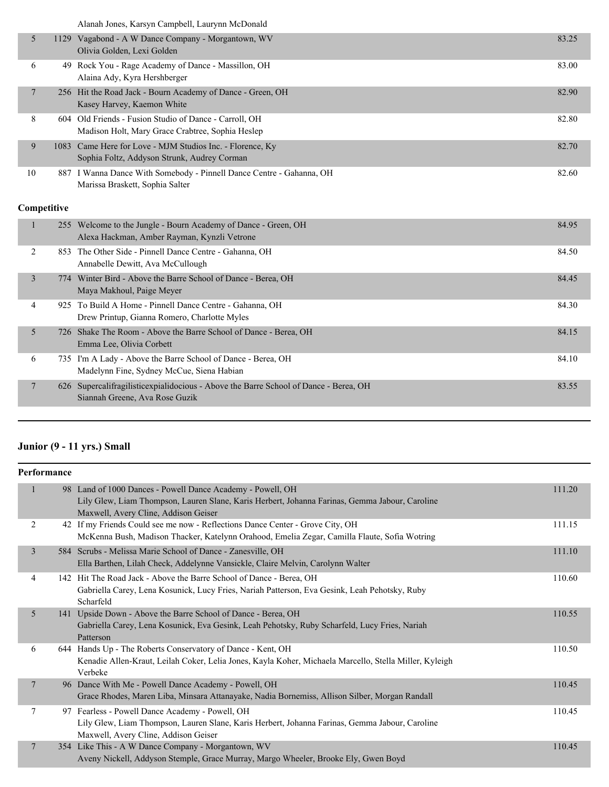Alanah Jones, Karsyn Campbell, Laurynn McDonald

|    | <u>, naman venes, realeyn campevil, baalymi hivis chana</u>                                                |       |
|----|------------------------------------------------------------------------------------------------------------|-------|
| 5  | 1129 Vagabond - A W Dance Company - Morgantown, WV<br>Olivia Golden, Lexi Golden                           | 83.25 |
| 6  | 49 Rock You - Rage Academy of Dance - Massillon, OH<br>Alaina Ady, Kyra Hershberger                        | 83.00 |
|    | 256 Hit the Road Jack - Bourn Academy of Dance - Green, OH<br>Kasey Harvey, Kaemon White                   | 82.90 |
| 8  | 604 Old Friends - Fusion Studio of Dance - Carroll, OH<br>Madison Holt, Mary Grace Crabtree, Sophia Heslep | 82.80 |
| 9  | 1083 Came Here for Love - MJM Studios Inc. - Florence, Ky<br>Sophia Foltz, Addyson Strunk, Audrey Corman   | 82.70 |
| 10 | 887 I Wanna Dance With Somebody - Pinnell Dance Centre - Gahanna, OH<br>Marissa Braskett, Sophia Salter    | 82.60 |

# **Competitive**

|                 |     | 255 Welcome to the Jungle - Bourn Academy of Dance - Green, OH<br>Alexa Hackman, Amber Rayman, Kynzli Vetrone            | 84.95 |
|-----------------|-----|--------------------------------------------------------------------------------------------------------------------------|-------|
| 2               | 853 | The Other Side - Pinnell Dance Centre - Gahanna, OH<br>Annabelle Dewitt, Ava McCullough                                  | 84.50 |
| 3               |     | 774 Winter Bird - Above the Barre School of Dance - Berea, OH<br>Maya Makhoul, Paige Meyer                               | 84.45 |
| 4               |     | 925 To Build A Home - Pinnell Dance Centre - Gahanna, OH<br>Drew Printup, Gianna Romero, Charlotte Myles                 | 84.30 |
| 5               |     | 726 Shake The Room - Above the Barre School of Dance - Berea, OH<br>Emma Lee, Olivia Corbett                             | 84.15 |
| 6               |     | 735 I'm A Lady - Above the Barre School of Dance - Berea, OH<br>Madelynn Fine, Sydney McCue, Siena Habian                | 84.10 |
| $7\phantom{.0}$ |     | 626 Supercalifragilistic expine ideology - Above the Barre School of Dance - Berea, OH<br>Siannah Greene, Ava Rose Guzik | 83.55 |

# **Junior (9 - 11 yrs.) Small**

| <b>Performance</b> |     |                                                                                                                                                                                                      |        |
|--------------------|-----|------------------------------------------------------------------------------------------------------------------------------------------------------------------------------------------------------|--------|
|                    |     | 98 Land of 1000 Dances - Powell Dance Academy - Powell, OH<br>Lily Glew, Liam Thompson, Lauren Slane, Karis Herbert, Johanna Farinas, Gemma Jabour, Caroline<br>Maxwell, Avery Cline, Addison Geiser | 111.20 |
| 2                  |     | 42 If my Friends Could see me now - Reflections Dance Center - Grove City, OH<br>McKenna Bush, Madison Thacker, Katelynn Orahood, Emelia Zegar, Camilla Flaute, Sofia Wotring                        | 111.15 |
| $\overline{3}$     |     | 584 Scrubs - Melissa Marie School of Dance - Zanesville, OH<br>Ella Barthen, Lilah Check, Addelynne Vansickle, Claire Melvin, Carolynn Walter                                                        | 111.10 |
| 4                  |     | 142 Hit The Road Jack - Above the Barre School of Dance - Berea, OH<br>Gabriella Carey, Lena Kosunick, Lucy Fries, Nariah Patterson, Eva Gesink, Leah Pehotsky, Ruby<br>Scharfeld                    | 110.60 |
| 5                  | 141 | Upside Down - Above the Barre School of Dance - Berea, OH<br>Gabriella Carey, Lena Kosunick, Eva Gesink, Leah Pehotsky, Ruby Scharfeld, Lucy Fries, Nariah<br>Patterson                              | 110.55 |
| 6                  |     | 644 Hands Up - The Roberts Conservatory of Dance - Kent, OH<br>Kenadie Allen-Kraut, Leilah Coker, Lelia Jones, Kayla Koher, Michaela Marcello, Stella Miller, Kyleigh<br>Verbeke                     | 110.50 |
| 7                  |     | 96 Dance With Me - Powell Dance Academy - Powell, OH<br>Grace Rhodes, Maren Liba, Minsara Attanayake, Nadia Bornemiss, Allison Silber, Morgan Randall                                                | 110.45 |
| 7                  |     | 97 Fearless - Powell Dance Academy - Powell, OH<br>Lily Glew, Liam Thompson, Lauren Slane, Karis Herbert, Johanna Farinas, Gemma Jabour, Caroline<br>Maxwell, Avery Cline, Addison Geiser            | 110.45 |
| $\overline{7}$     |     | 354 Like This - A W Dance Company - Morgantown, WV<br>Aveny Nickell, Addyson Stemple, Grace Murray, Margo Wheeler, Brooke Ely, Gwen Boyd                                                             | 110.45 |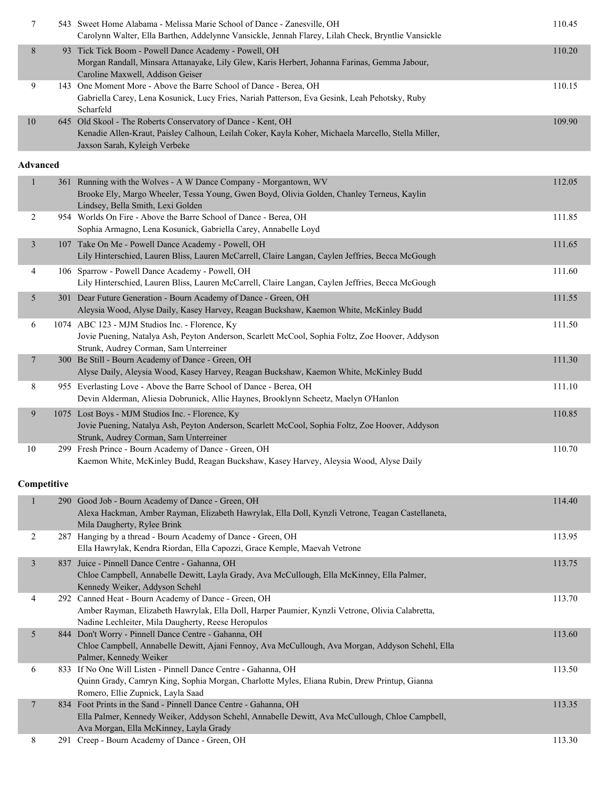| $\tau$          | 543 Sweet Home Alabama - Melissa Marie School of Dance - Zanesville, OH<br>Carolynn Walter, Ella Barthen, Addelynne Vansickle, Jennah Flarey, Lilah Check, Bryntlie Vansickle                                 | 110.45 |
|-----------------|---------------------------------------------------------------------------------------------------------------------------------------------------------------------------------------------------------------|--------|
| 8               | 93 Tick Tick Boom - Powell Dance Academy - Powell, OH<br>Morgan Randall, Minsara Attanayake, Lily Glew, Karis Herbert, Johanna Farinas, Gemma Jabour,<br>Caroline Maxwell, Addison Geiser                     | 110.20 |
| 9               | 143 One Moment More - Above the Barre School of Dance - Berea, OH<br>Gabriella Carey, Lena Kosunick, Lucy Fries, Nariah Patterson, Eva Gesink, Leah Pehotsky, Ruby<br>Scharfeld                               | 110.15 |
| 10              | 645 Old Skool - The Roberts Conservatory of Dance - Kent, OH<br>Kenadie Allen-Kraut, Paisley Calhoun, Leilah Coker, Kayla Koher, Michaela Marcello, Stella Miller,<br>Jaxson Sarah, Kyleigh Verbeke           | 109.90 |
| <b>Advanced</b> |                                                                                                                                                                                                               |        |
| 1               | 361 Running with the Wolves - A W Dance Company - Morgantown, WV<br>Brooke Ely, Margo Wheeler, Tessa Young, Gwen Boyd, Olivia Golden, Chanley Terneus, Kaylin<br>Lindsey, Bella Smith, Lexi Golden            | 112.05 |
| 2               | 954 Worlds On Fire - Above the Barre School of Dance - Berea, OH<br>Sophia Armagno, Lena Kosunick, Gabriella Carey, Annabelle Loyd                                                                            | 111.85 |
| $\mathfrak{Z}$  | 107 Take On Me - Powell Dance Academy - Powell, OH<br>Lily Hinterschied, Lauren Bliss, Lauren McCarrell, Claire Langan, Caylen Jeffries, Becca McGough                                                        | 111.65 |
| 4               | 106 Sparrow - Powell Dance Academy - Powell, OH<br>Lily Hinterschied, Lauren Bliss, Lauren McCarrell, Claire Langan, Caylen Jeffries, Becca McGough                                                           | 111.60 |
| 5               | 301 Dear Future Generation - Bourn Academy of Dance - Green, OH<br>Aleysia Wood, Alyse Daily, Kasey Harvey, Reagan Buckshaw, Kaemon White, McKinley Budd                                                      | 111.55 |
| 6               | 1074 ABC 123 - MJM Studios Inc. - Florence, Ky<br>Jovie Puening, Natalya Ash, Peyton Anderson, Scarlett McCool, Sophia Foltz, Zoe Hoover, Addyson<br>Strunk, Audrey Corman, Sam Unterreiner                   | 111.50 |
| $7\phantom{.0}$ | 300 Be Still - Bourn Academy of Dance - Green, OH<br>Alyse Daily, Aleysia Wood, Kasey Harvey, Reagan Buckshaw, Kaemon White, McKinley Budd                                                                    | 111.30 |
| 8               | 955 Everlasting Love - Above the Barre School of Dance - Berea, OH<br>Devin Alderman, Aliesia Dobrunick, Allie Haynes, Brooklynn Scheetz, Maelyn O'Hanlon                                                     | 111.10 |
| 9               | 1075 Lost Boys - MJM Studios Inc. - Florence, Ky<br>Jovie Puening, Natalya Ash, Peyton Anderson, Scarlett McCool, Sophia Foltz, Zoe Hoover, Addyson<br>Strunk, Audrey Corman, Sam Unterreiner                 | 110.85 |
| 10              | 299 Fresh Prince - Bourn Academy of Dance - Green, OH<br>Kaemon White, McKinley Budd, Reagan Buckshaw, Kasey Harvey, Aleysia Wood, Alyse Daily                                                                | 110.70 |
| Competitive     |                                                                                                                                                                                                               |        |
| $\mathbf{1}$    | 290 Good Job - Bourn Academy of Dance - Green, OH<br>Alexa Hackman, Amber Rayman, Elizabeth Hawrylak, Ella Doll, Kynzli Vetrone, Teagan Castellaneta,<br>Mila Daugherty, Rylee Brink                          | 114.40 |
| 2               | 287 Hanging by a thread - Bourn Academy of Dance - Green, OH<br>Ella Hawrylak, Kendra Riordan, Ella Capozzi, Grace Kemple, Maevah Vetrone                                                                     | 113.95 |
| $\mathfrak{Z}$  | 837 Juice - Pinnell Dance Centre - Gahanna, OH<br>Chloe Campbell, Annabelle Dewitt, Layla Grady, Ava McCullough, Ella McKinney, Ella Palmer,<br>Kennedy Weiker, Addyson Schehl                                | 113.75 |
| 4               | 292 Canned Heat - Bourn Academy of Dance - Green, OH<br>Amber Rayman, Elizabeth Hawrylak, Ella Doll, Harper Paumier, Kynzli Vetrone, Olivia Calabretta,<br>Nadine Lechleiter, Mila Daugherty, Reese Heropulos | 113.70 |
| 5               | 844 Don't Worry - Pinnell Dance Centre - Gahanna, OH<br>Chloe Campbell, Annabelle Dewitt, Ajani Fennoy, Ava McCullough, Ava Morgan, Addyson Schehl, Ella<br>Palmer, Kennedy Weiker                            | 113.60 |
| 6               | 833 If No One Will Listen - Pinnell Dance Centre - Gahanna, OH<br>Quinn Grady, Camryn King, Sophia Morgan, Charlotte Myles, Eliana Rubin, Drew Printup, Gianna<br>Romero, Ellie Zupnick, Layla Saad           | 113.50 |
| $\tau$          | 834 Foot Prints in the Sand - Pinnell Dance Centre - Gahanna, OH<br>Ella Palmer, Kennedy Weiker, Addyson Schehl, Annabelle Dewitt, Ava McCullough, Chloe Campbell,<br>Ava Morgan, Ella McKinney, Layla Grady  | 113.35 |
| 8               | 291 Creep - Bourn Academy of Dance - Green, OH                                                                                                                                                                | 113.30 |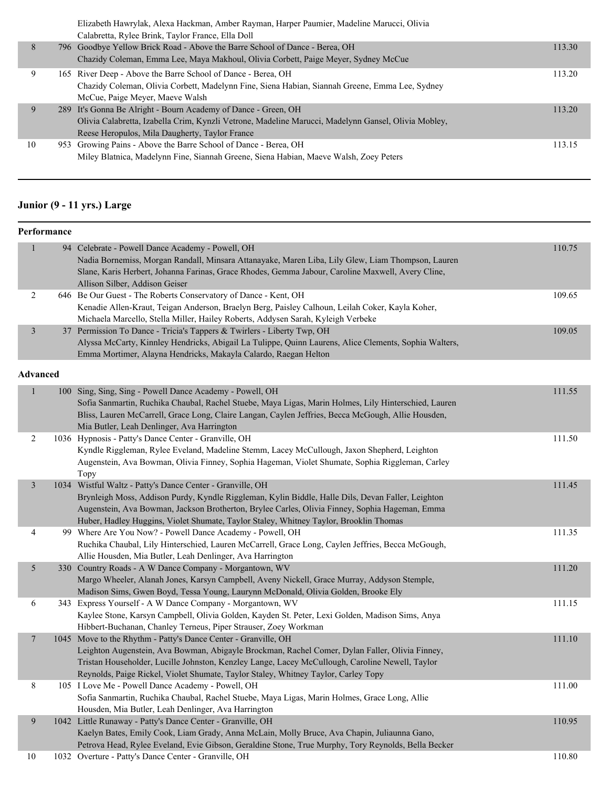|    | Elizabeth Hawrylak, Alexa Hackman, Amber Rayman, Harper Paumier, Madeline Marucci, Olivia           |        |
|----|-----------------------------------------------------------------------------------------------------|--------|
|    | Calabretta, Rylee Brink, Taylor France, Ella Doll                                                   |        |
| 8  | 796 Goodbye Yellow Brick Road - Above the Barre School of Dance - Berea, OH                         | 113.30 |
|    | Chazidy Coleman, Emma Lee, Maya Makhoul, Olivia Corbett, Paige Meyer, Sydney McCue                  |        |
| 9  | 165 River Deep - Above the Barre School of Dance - Berea, OH                                        | 113.20 |
|    | Chazidy Coleman, Olivia Corbett, Madelynn Fine, Siena Habian, Siannah Greene, Emma Lee, Sydney      |        |
|    | McCue, Paige Meyer, Maeye Walsh                                                                     |        |
| 9  | 289 It's Gonna Be Alright - Bourn Academy of Dance - Green, OH                                      | 113.20 |
|    | Olivia Calabretta, Izabella Crim, Kynzli Vetrone, Madeline Marucci, Madelynn Gansel, Olivia Mobley, |        |
|    | Reese Heropulos, Mila Daugherty, Taylor France                                                      |        |
| 10 | 953 Growing Pains - Above the Barre School of Dance - Berea, OH                                     | 113.15 |
|    | Miley Blatnica, Madelynn Fine, Siannah Greene, Siena Habian, Maeve Walsh, Zoey Peters               |        |
|    |                                                                                                     |        |

# **Junior (9 - 11 yrs.) Large**

| Performance     |                                                                                                                                                                                                                                                                                                                                                           |        |
|-----------------|-----------------------------------------------------------------------------------------------------------------------------------------------------------------------------------------------------------------------------------------------------------------------------------------------------------------------------------------------------------|--------|
| $\mathbf{1}$    | 94 Celebrate - Powell Dance Academy - Powell, OH<br>Nadia Bornemiss, Morgan Randall, Minsara Attanayake, Maren Liba, Lily Glew, Liam Thompson, Lauren<br>Slane, Karis Herbert, Johanna Farinas, Grace Rhodes, Gemma Jabour, Caroline Maxwell, Avery Cline,<br>Allison Silber, Addison Geiser                                                              | 110.75 |
| $\overline{2}$  | 646 Be Our Guest - The Roberts Conservatory of Dance - Kent, OH<br>Kenadie Allen-Kraut, Teigan Anderson, Braelyn Berg, Paisley Calhoun, Leilah Coker, Kayla Koher,<br>Michaela Marcello, Stella Miller, Hailey Roberts, Addysen Sarah, Kyleigh Verbeke                                                                                                    | 109.65 |
| 3               | 37 Permission To Dance - Tricia's Tappers & Twirlers - Liberty Twp, OH<br>Alyssa McCarty, Kinnley Hendricks, Abigail La Tulippe, Quinn Laurens, Alice Clements, Sophia Walters,<br>Emma Mortimer, Alayna Hendricks, Makayla Calardo, Raegan Helton                                                                                                        | 109.05 |
| <b>Advanced</b> |                                                                                                                                                                                                                                                                                                                                                           |        |
| $\mathbf{1}$    | 100 Sing, Sing, Sing - Powell Dance Academy - Powell, OH<br>Sofia Sanmartin, Ruchika Chaubal, Rachel Stuebe, Maya Ligas, Marin Holmes, Lily Hinterschied, Lauren<br>Bliss, Lauren McCarrell, Grace Long, Claire Langan, Caylen Jeffries, Becca McGough, Allie Housden,<br>Mia Butler, Leah Denlinger, Ava Harrington                                      | 111.55 |
| $\overline{c}$  | 1036 Hypnosis - Patty's Dance Center - Granville, OH<br>Kyndle Riggleman, Rylee Eveland, Madeline Stemm, Lacey McCullough, Jaxon Shepherd, Leighton<br>Augenstein, Ava Bowman, Olivia Finney, Sophia Hageman, Violet Shumate, Sophia Riggleman, Carley<br>Topy                                                                                            | 111.50 |
| $\mathfrak{Z}$  | 1034 Wistful Waltz - Patty's Dance Center - Granville, OH<br>Brynleigh Moss, Addison Purdy, Kyndle Riggleman, Kylin Biddle, Halle Dils, Devan Faller, Leighton<br>Augenstein, Ava Bowman, Jackson Brotherton, Brylee Carles, Olivia Finney, Sophia Hageman, Emma<br>Huber, Hadley Huggins, Violet Shumate, Taylor Staley, Whitney Taylor, Brooklin Thomas | 111.45 |
| 4               | 99 Where Are You Now? - Powell Dance Academy - Powell, OH<br>Ruchika Chaubal, Lily Hinterschied, Lauren McCarrell, Grace Long, Caylen Jeffries, Becca McGough,<br>Allie Housden, Mia Butler, Leah Denlinger, Ava Harrington                                                                                                                               | 111.35 |
| $\mathfrak{H}$  | 330 Country Roads - A W Dance Company - Morgantown, WV<br>Margo Wheeler, Alanah Jones, Karsyn Campbell, Aveny Nickell, Grace Murray, Addyson Stemple,<br>Madison Sims, Gwen Boyd, Tessa Young, Laurynn McDonald, Olivia Golden, Brooke Ely                                                                                                                | 111.20 |
| 6               | 343 Express Yourself - A W Dance Company - Morgantown, WV<br>Kaylee Stone, Karsyn Campbell, Olivia Golden, Kayden St. Peter, Lexi Golden, Madison Sims, Anya<br>Hibbert-Buchanan, Chanley Terneus, Piper Strauser, Zoey Workman                                                                                                                           | 111.15 |
| 7               | 1045 Move to the Rhythm - Patty's Dance Center - Granville, OH<br>Leighton Augenstein, Ava Bowman, Abigayle Brockman, Rachel Comer, Dylan Faller, Olivia Finney,<br>Tristan Householder, Lucille Johnston, Kenzley Lange, Lacey McCullough, Caroline Newell, Taylor<br>Reynolds, Paige Rickel, Violet Shumate, Taylor Staley, Whitney Taylor, Carley Topy | 111.10 |
| 8               | 105 I Love Me - Powell Dance Academy - Powell, OH<br>Sofia Sanmartin, Ruchika Chaubal, Rachel Stuebe, Maya Ligas, Marin Holmes, Grace Long, Allie<br>Housden, Mia Butler, Leah Denlinger, Ava Harrington                                                                                                                                                  | 111.00 |
| 9               | 1042 Little Runaway - Patty's Dance Center - Granville, OH<br>Kaelyn Bates, Emily Cook, Liam Grady, Anna McLain, Molly Bruce, Ava Chapin, Juliaunna Gano,<br>Petrova Head, Rylee Eveland, Evie Gibson, Geraldine Stone, True Murphy, Tory Reynolds, Bella Becker                                                                                          | 110.95 |
| 10              | 1032 Overture - Patty's Dance Center - Granville, OH                                                                                                                                                                                                                                                                                                      | 110.80 |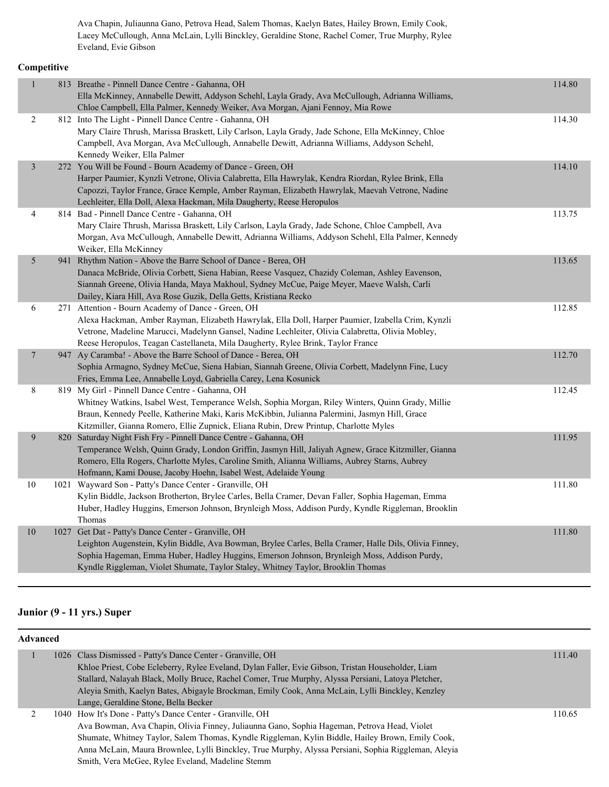Ava Chapin, Juliaunna Gano, Petrova Head, Salem Thomas, Kaelyn Bates, Hailey Brown, Emily Cook, Lacey McCullough, Anna McLain, Lylli Binckley, Geraldine Stone, Rachel Comer, True Murphy, Rylee Eveland, Evie Gibson

# **Competitive**

| $\mathbf{1}$     | 813 Breathe - Pinnell Dance Centre - Gahanna, OH<br>Ella McKinney, Annabelle Dewitt, Addyson Schehl, Layla Grady, Ava McCullough, Adrianna Williams, | 114.80 |
|------------------|------------------------------------------------------------------------------------------------------------------------------------------------------|--------|
|                  | Chloe Campbell, Ella Palmer, Kennedy Weiker, Ava Morgan, Ajani Fennoy, Mia Rowe                                                                      |        |
| $\overline{c}$   | 812 Into The Light - Pinnell Dance Centre - Gahanna, OH                                                                                              | 114.30 |
|                  | Mary Claire Thrush, Marissa Braskett, Lily Carlson, Layla Grady, Jade Schone, Ella McKinney, Chloe                                                   |        |
|                  | Campbell, Ava Morgan, Ava McCullough, Annabelle Dewitt, Adrianna Williams, Addyson Schehl,                                                           |        |
|                  | Kennedy Weiker, Ella Palmer                                                                                                                          |        |
| 3                | 272 You Will be Found - Bourn Academy of Dance - Green, OH                                                                                           | 114.10 |
|                  | Harper Paumier, Kynzli Vetrone, Olivia Calabretta, Ella Hawrylak, Kendra Riordan, Rylee Brink, Ella                                                  |        |
|                  | Capozzi, Taylor France, Grace Kemple, Amber Rayman, Elizabeth Hawrylak, Maevah Vetrone, Nadine                                                       |        |
|                  | Lechleiter, Ella Doll, Alexa Hackman, Mila Daugherty, Reese Heropulos                                                                                |        |
| $\overline{4}$   | 814 Bad - Pinnell Dance Centre - Gahanna, OH                                                                                                         | 113.75 |
|                  | Mary Claire Thrush, Marissa Braskett, Lily Carlson, Layla Grady, Jade Schone, Chloe Campbell, Ava                                                    |        |
|                  | Morgan, Ava McCullough, Annabelle Dewitt, Adrianna Williams, Addyson Schehl, Ella Palmer, Kennedy                                                    |        |
|                  | Weiker, Ella McKinney                                                                                                                                |        |
| 5                | 941 Rhythm Nation - Above the Barre School of Dance - Berea, OH                                                                                      | 113.65 |
|                  | Danaca McBride, Olivia Corbett, Siena Habian, Reese Vasquez, Chazidy Coleman, Ashley Eavenson,                                                       |        |
|                  | Siannah Greene, Olivia Handa, Maya Makhoul, Sydney McCue, Paige Meyer, Maeve Walsh, Carli                                                            |        |
|                  | Dailey, Kiara Hill, Ava Rose Guzik, Della Getts, Kristiana Recko                                                                                     |        |
| 6                | 271 Attention - Bourn Academy of Dance - Green, OH                                                                                                   | 112.85 |
|                  | Alexa Hackman, Amber Rayman, Elizabeth Hawrylak, Ella Doll, Harper Paumier, Izabella Crim, Kynzli                                                    |        |
|                  | Vetrone, Madeline Marucci, Madelynn Gansel, Nadine Lechleiter, Olivia Calabretta, Olivia Mobley,                                                     |        |
|                  | Reese Heropulos, Teagan Castellaneta, Mila Daugherty, Rylee Brink, Taylor France                                                                     |        |
| $7\phantom{.0}$  | 947 Ay Caramba! - Above the Barre School of Dance - Berea, OH                                                                                        | 112.70 |
|                  | Sophia Armagno, Sydney McCue, Siena Habian, Siannah Greene, Olivia Corbett, Madelynn Fine, Lucy                                                      |        |
|                  | Fries, Emma Lee, Annabelle Loyd, Gabriella Carey, Lena Kosunick                                                                                      |        |
| 8                | 819 My Girl - Pinnell Dance Centre - Gahanna, OH                                                                                                     | 112.45 |
|                  | Whitney Watkins, Isabel West, Temperance Welsh, Sophia Morgan, Riley Winters, Quinn Grady, Millie                                                    |        |
|                  | Braun, Kennedy Peelle, Katherine Maki, Karis McKibbin, Julianna Palermini, Jasmyn Hill, Grace                                                        |        |
|                  | Kitzmiller, Gianna Romero, Ellie Zupnick, Eliana Rubin, Drew Printup, Charlotte Myles                                                                |        |
| $\boldsymbol{9}$ | 820 Saturday Night Fish Fry - Pinnell Dance Centre - Gahanna, OH                                                                                     | 111.95 |
|                  | Temperance Welsh, Quinn Grady, London Griffin, Jasmyn Hill, Jaliyah Agnew, Grace Kitzmiller, Gianna                                                  |        |
|                  | Romero, Ella Rogers, Charlotte Myles, Caroline Smith, Alianna Williams, Aubrey Starns, Aubrey                                                        |        |
|                  | Hofmann, Kami Douse, Jacoby Hoehn, Isabel West, Adelaide Young                                                                                       |        |
| $10\,$           | 1021 Wayward Son - Patty's Dance Center - Granville, OH                                                                                              | 111.80 |
|                  | Kylin Biddle, Jackson Brotherton, Brylee Carles, Bella Cramer, Devan Faller, Sophia Hageman, Emma                                                    |        |
|                  | Huber, Hadley Huggins, Emerson Johnson, Brynleigh Moss, Addison Purdy, Kyndle Riggleman, Brooklin                                                    |        |
|                  | Thomas                                                                                                                                               |        |
| 10               | 1027 Get Dat - Patty's Dance Center - Granville, OH                                                                                                  | 111.80 |
|                  | Leighton Augenstein, Kylin Biddle, Ava Bowman, Brylee Carles, Bella Cramer, Halle Dils, Olivia Finney,                                               |        |
|                  | Sophia Hageman, Emma Huber, Hadley Huggins, Emerson Johnson, Brynleigh Moss, Addison Purdy,                                                          |        |
|                  | Kyndle Riggleman, Violet Shumate, Taylor Staley, Whitney Taylor, Brooklin Thomas                                                                     |        |
|                  |                                                                                                                                                      |        |

# **Junior (9 - 11 yrs.) Super**

| <b>Advanced</b> |                                                                                                     |        |  |  |
|-----------------|-----------------------------------------------------------------------------------------------------|--------|--|--|
|                 | 1026 Class Dismissed - Patty's Dance Center - Granville, OH                                         | 111.40 |  |  |
|                 | Khloe Priest, Cobe Ecleberry, Rylee Eveland, Dylan Faller, Evie Gibson, Tristan Householder, Liam   |        |  |  |
|                 | Stallard, Nalayah Black, Molly Bruce, Rachel Comer, True Murphy, Alyssa Persiani, Latoya Pletcher,  |        |  |  |
|                 | Aleyia Smith, Kaelyn Bates, Abigayle Brockman, Emily Cook, Anna McLain, Lylli Binckley, Kenzley     |        |  |  |
|                 | Lange, Geraldine Stone, Bella Becker                                                                |        |  |  |
|                 | 1040 How It's Done - Patty's Dance Center - Granville, OH                                           | 110.65 |  |  |
|                 | Ava Bowman, Ava Chapin, Olivia Finney, Juliaunna Gano, Sophia Hageman, Petrova Head, Violet         |        |  |  |
|                 | Shumate, Whitney Taylor, Salem Thomas, Kyndle Riggleman, Kylin Biddle, Hailey Brown, Emily Cook,    |        |  |  |
|                 | Anna McLain, Maura Brownlee, Lylli Binckley, True Murphy, Alyssa Persiani, Sophia Riggleman, Aleyia |        |  |  |
|                 | Smith, Vera McGee, Rylee Eveland, Madeline Stemm                                                    |        |  |  |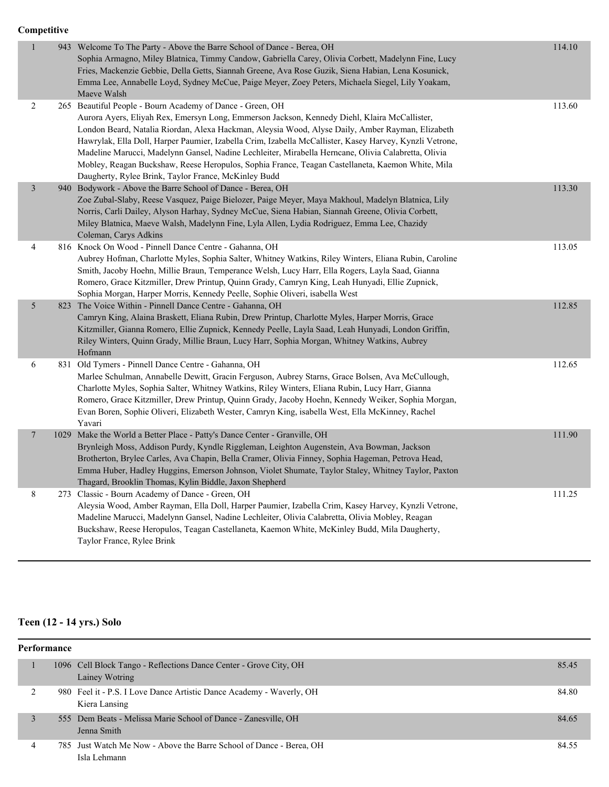#### **Competitive**

| $\mathbf{1}$     | 943 Welcome To The Party - Above the Barre School of Dance - Berea, OH<br>Sophia Armagno, Miley Blatnica, Timmy Candow, Gabriella Carey, Olivia Corbett, Madelynn Fine, Lucy<br>Fries, Mackenzie Gebbie, Della Getts, Siannah Greene, Ava Rose Guzik, Siena Habian, Lena Kosunick,<br>Emma Lee, Annabelle Loyd, Sydney McCue, Paige Meyer, Zoey Peters, Michaela Siegel, Lily Yoakam,<br>Maeve Walsh                                                                                                                                                                                                                                        | 114.10 |
|------------------|---------------------------------------------------------------------------------------------------------------------------------------------------------------------------------------------------------------------------------------------------------------------------------------------------------------------------------------------------------------------------------------------------------------------------------------------------------------------------------------------------------------------------------------------------------------------------------------------------------------------------------------------|--------|
| $\boldsymbol{2}$ | 265 Beautiful People - Bourn Academy of Dance - Green, OH<br>Aurora Ayers, Eliyah Rex, Emersyn Long, Emmerson Jackson, Kennedy Diehl, Klaira McCallister,<br>London Beard, Natalia Riordan, Alexa Hackman, Aleysia Wood, Alyse Daily, Amber Rayman, Elizabeth<br>Hawrylak, Ella Doll, Harper Paumier, Izabella Crim, Izabella McCallister, Kasey Harvey, Kynzli Vetrone,<br>Madeline Marucci, Madelynn Gansel, Nadine Lechleiter, Mirabella Herncane, Olivia Calabretta, Olivia<br>Mobley, Reagan Buckshaw, Reese Heropulos, Sophia France, Teagan Castellaneta, Kaemon White, Mila<br>Daugherty, Rylee Brink, Taylor France, McKinley Budd | 113.60 |
| $\overline{3}$   | 940 Bodywork - Above the Barre School of Dance - Berea, OH<br>Zoe Zubal-Slaby, Reese Vasquez, Paige Bielozer, Paige Meyer, Maya Makhoul, Madelyn Blatnica, Lily<br>Norris, Carli Dailey, Alyson Harhay, Sydney McCue, Siena Habian, Siannah Greene, Olivia Corbett,<br>Miley Blatnica, Maeve Walsh, Madelynn Fine, Lyla Allen, Lydia Rodriguez, Emma Lee, Chazidy<br>Coleman, Carys Adkins                                                                                                                                                                                                                                                  | 113.30 |
| $\overline{4}$   | 816 Knock On Wood - Pinnell Dance Centre - Gahanna, OH<br>Aubrey Hofman, Charlotte Myles, Sophia Salter, Whitney Watkins, Riley Winters, Eliana Rubin, Caroline<br>Smith, Jacoby Hoehn, Millie Braun, Temperance Welsh, Lucy Harr, Ella Rogers, Layla Saad, Gianna<br>Romero, Grace Kitzmiller, Drew Printup, Quinn Grady, Camryn King, Leah Hunyadi, Ellie Zupnick,<br>Sophia Morgan, Harper Morris, Kennedy Peelle, Sophie Oliveri, isabella West                                                                                                                                                                                         | 113.05 |
| 5                | 823 The Voice Within - Pinnell Dance Centre - Gahanna, OH<br>Camryn King, Alaina Braskett, Eliana Rubin, Drew Printup, Charlotte Myles, Harper Morris, Grace<br>Kitzmiller, Gianna Romero, Ellie Zupnick, Kennedy Peelle, Layla Saad, Leah Hunyadi, London Griffin,<br>Riley Winters, Quinn Grady, Millie Braun, Lucy Harr, Sophia Morgan, Whitney Watkins, Aubrey<br>Hofmann                                                                                                                                                                                                                                                               | 112.85 |
| 6                | 831 Old Tymers - Pinnell Dance Centre - Gahanna, OH<br>Marlee Schulman, Annabelle Dewitt, Gracin Ferguson, Aubrey Starns, Grace Bolsen, Ava McCullough,<br>Charlotte Myles, Sophia Salter, Whitney Watkins, Riley Winters, Eliana Rubin, Lucy Harr, Gianna<br>Romero, Grace Kitzmiller, Drew Printup, Quinn Grady, Jacoby Hoehn, Kennedy Weiker, Sophia Morgan,<br>Evan Boren, Sophie Oliveri, Elizabeth Wester, Camryn King, isabella West, Ella McKinney, Rachel<br>Yavari                                                                                                                                                                | 112.65 |
| $\overline{7}$   | 1029 Make the World a Better Place - Patty's Dance Center - Granville, OH<br>Brynleigh Moss, Addison Purdy, Kyndle Riggleman, Leighton Augenstein, Ava Bowman, Jackson<br>Brotherton, Brylee Carles, Ava Chapin, Bella Cramer, Olivia Finney, Sophia Hageman, Petrova Head,<br>Emma Huber, Hadley Huggins, Emerson Johnson, Violet Shumate, Taylor Staley, Whitney Taylor, Paxton<br>Thagard, Brooklin Thomas, Kylin Biddle, Jaxon Shepherd                                                                                                                                                                                                 | 111.90 |
| 8                | 273 Classic - Bourn Academy of Dance - Green, OH<br>Aleysia Wood, Amber Rayman, Ella Doll, Harper Paumier, Izabella Crim, Kasey Harvey, Kynzli Vetrone,<br>Madeline Marucci, Madelynn Gansel, Nadine Lechleiter, Olivia Calabretta, Olivia Mobley, Reagan<br>Buckshaw, Reese Heropulos, Teagan Castellaneta, Kaemon White, McKinley Budd, Mila Daugherty,<br>Taylor France, Rylee Brink                                                                                                                                                                                                                                                     | 111.25 |

# **Teen (12 - 14 yrs.) Solo**

| Performance |                                                                                       |       |  |  |
|-------------|---------------------------------------------------------------------------------------|-------|--|--|
|             | 1096 Cell Block Tango - Reflections Dance Center - Grove City, OH<br>Lainey Wotring   | 85.45 |  |  |
|             | 980 Feel it - P.S. I Love Dance Artistic Dance Academy - Waverly, OH<br>Kiera Lansing | 84.80 |  |  |
|             | 555 Dem Beats - Melissa Marie School of Dance - Zanesville, OH<br>Jenna Smith         | 84.65 |  |  |
|             | 785 Just Watch Me Now - Above the Barre School of Dance - Berea, OH<br>Isla Lehmann   | 84.55 |  |  |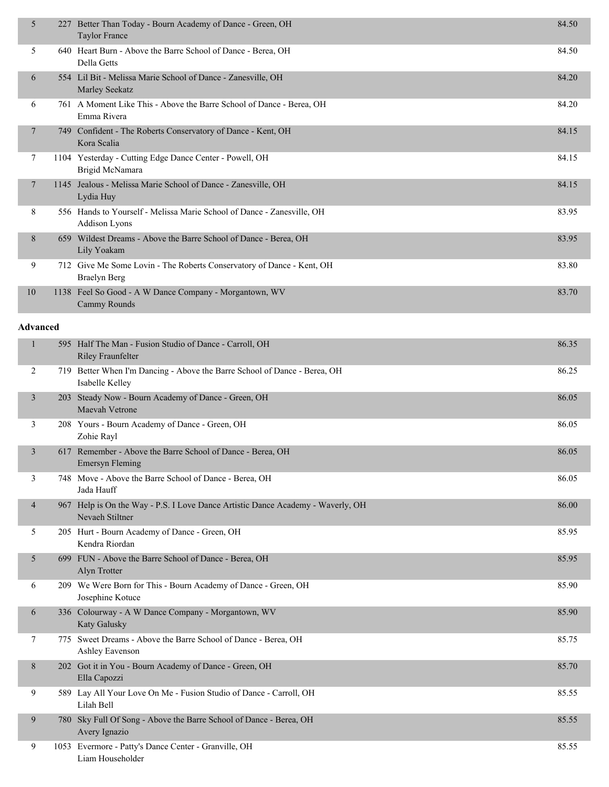| 5              | 227  | Better Than Today - Bourn Academy of Dance - Green, OH<br><b>Taylor France</b>               | 84.50 |
|----------------|------|----------------------------------------------------------------------------------------------|-------|
| 5              |      | 640 Heart Burn - Above the Barre School of Dance - Berea, OH<br>Della Getts                  | 84.50 |
| 6              |      | 554 Lil Bit - Melissa Marie School of Dance - Zanesville, OH<br>Marley Seekatz               | 84.20 |
| 6              |      | 761 A Moment Like This - Above the Barre School of Dance - Berea, OH<br>Emma Rivera          | 84.20 |
| 7              | 749. | Confident - The Roberts Conservatory of Dance - Kent, OH<br>Kora Scalia                      | 84.15 |
| 7              |      | 1104 Yesterday - Cutting Edge Dance Center - Powell, OH<br>Brigid McNamara                   | 84.15 |
| $\overline{7}$ |      | 1145 Jealous - Melissa Marie School of Dance - Zanesville, OH<br>Lydia Huy                   | 84.15 |
| 8              |      | 556 Hands to Yourself - Melissa Marie School of Dance - Zanesville, OH<br>Addison Lyons      | 83.95 |
| 8              | 659  | Wildest Dreams - Above the Barre School of Dance - Berea, OH<br>Lily Yoakam                  | 83.95 |
| 9              |      | 712 Give Me Some Lovin - The Roberts Conservatory of Dance - Kent, OH<br><b>Braelyn Berg</b> | 83.80 |
| 10             |      | 1138 Feel So Good - A W Dance Company - Morgantown, WV<br>Cammy Rounds                       | 83.70 |
|                |      |                                                                                              |       |

### **Advanced**

| $\mathbf{1}$ | 595 Half The Man - Fusion Studio of Dance - Carroll, OH<br><b>Riley Fraunfelter</b>                | 86.35 |
|--------------|----------------------------------------------------------------------------------------------------|-------|
| 2            | 719 Better When I'm Dancing - Above the Barre School of Dance - Berea, OH<br>Isabelle Kelley       | 86.25 |
| 3            | 203 Steady Now - Bourn Academy of Dance - Green, OH<br>Maevah Vetrone                              | 86.05 |
| 3            | 208 Yours - Bourn Academy of Dance - Green, OH<br>Zohie Rayl                                       | 86.05 |
| 3            | 617 Remember - Above the Barre School of Dance - Berea, OH<br><b>Emersyn Fleming</b>               | 86.05 |
| 3            | 748 Move - Above the Barre School of Dance - Berea, OH<br>Jada Hauff                               | 86.05 |
| 4            | 967 Help is On the Way - P.S. I Love Dance Artistic Dance Academy - Waverly, OH<br>Nevaeh Stiltner | 86.00 |
| 5            | 205 Hurt - Bourn Academy of Dance - Green, OH<br>Kendra Riordan                                    | 85.95 |
| 5            | 699 FUN - Above the Barre School of Dance - Berea, OH<br>Alyn Trotter                              | 85.95 |
| 6            | 209 We Were Born for This - Bourn Academy of Dance - Green, OH<br>Josephine Kotuce                 | 85.90 |
| 6            | 336 Colourway - A W Dance Company - Morgantown, WV<br><b>Katy Galusky</b>                          | 85.90 |
| 7            | 775 Sweet Dreams - Above the Barre School of Dance - Berea, OH<br>Ashley Eavenson                  | 85.75 |
| 8            | 202 Got it in You - Bourn Academy of Dance - Green, OH<br>Ella Capozzi                             | 85.70 |
| 9            | 589 Lay All Your Love On Me - Fusion Studio of Dance - Carroll, OH<br>Lilah Bell                   | 85.55 |
| 9            | 780 Sky Full Of Song - Above the Barre School of Dance - Berea, OH<br>Avery Ignazio                | 85.55 |
| 9            | 1053 Evermore - Patty's Dance Center - Granville, OH<br>Liam Householder                           | 85.55 |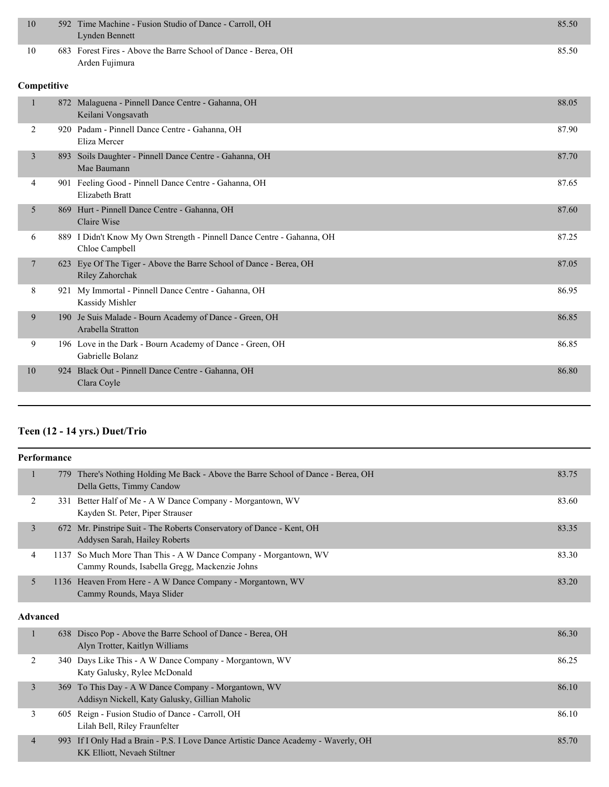| 10          |     | 592 Time Machine - Fusion Studio of Dance - Carroll, OH<br>Lynden Bennett                | 85.50 |
|-------------|-----|------------------------------------------------------------------------------------------|-------|
| 10          |     | 683 Forest Fires - Above the Barre School of Dance - Berea, OH<br>Arden Fujimura         | 85.50 |
| Competitive |     |                                                                                          |       |
|             |     | 872 Malaguena - Pinnell Dance Centre - Gahanna, OH<br>Keilani Vongsavath                 | 88.05 |
| 2           |     | 920 Padam - Pinnell Dance Centre - Gahanna, OH<br>Eliza Mercer                           | 87.90 |
| 3           | 893 | Soils Daughter - Pinnell Dance Centre - Gahanna, OH<br>Mae Baumann                       | 87.70 |
| 4           |     | 901 Feeling Good - Pinnell Dance Centre - Gahanna, OH<br>Elizabeth Bratt                 | 87.65 |
| 5           |     | 869 Hurt - Pinnell Dance Centre - Gahanna, OH<br>Claire Wise                             | 87.60 |
| 6           |     | 889 I Didn't Know My Own Strength - Pinnell Dance Centre - Gahanna, OH<br>Chloe Campbell | 87.25 |
| 7           |     | 623 Eye Of The Tiger - Above the Barre School of Dance - Berea, OH<br>Riley Zahorchak    | 87.05 |
| 8           |     | 921 My Immortal - Pinnell Dance Centre - Gahanna, OH<br>Kassidy Mishler                  | 86.95 |
| 9           |     | 190 Je Suis Malade - Bourn Academy of Dance - Green, OH<br>Arabella Stratton             | 86.85 |
| 9           |     | 196 Love in the Dark - Bourn Academy of Dance - Green, OH<br>Gabrielle Bolanz            | 86.85 |
| 10          |     | 924 Black Out - Pinnell Dance Centre - Gahanna, OH<br>Clara Coyle                        | 86.80 |
|             |     |                                                                                          |       |

# **Teen (12 - 14 yrs.) Duet/Trio**

|   | Performance |                                                                                                                   |       |
|---|-------------|-------------------------------------------------------------------------------------------------------------------|-------|
|   |             | 779 There's Nothing Holding Me Back - Above the Barre School of Dance - Berea, OH<br>Della Getts, Timmy Candow    | 83.75 |
|   |             | 331 Better Half of Me - A W Dance Company - Morgantown, WV<br>Kayden St. Peter, Piper Strauser                    | 83.60 |
| 3 |             | 672 Mr. Pinstripe Suit - The Roberts Conservatory of Dance - Kent, OH<br>Addysen Sarah, Hailey Roberts            | 83.35 |
| 4 |             | 1137 So Much More Than This - A W Dance Company - Morgantown, WV<br>Cammy Rounds, Isabella Gregg, Mackenzie Johns | 83.30 |
|   |             | 1136 Heaven From Here - A W Dance Company - Morgantown, WV<br>Cammy Rounds, Maya Slider                           | 83.20 |

#### **Advanced**

|   | 638 Disco Pop - Above the Barre School of Dance - Berea, OH                        | 86.30 |
|---|------------------------------------------------------------------------------------|-------|
|   | Alyn Trotter, Kaitlyn Williams                                                     |       |
|   |                                                                                    |       |
|   | 340 Days Like This - A W Dance Company - Morgantown, WV                            | 86.25 |
|   |                                                                                    |       |
|   | Katy Galusky, Rylee McDonald                                                       |       |
|   |                                                                                    |       |
|   | 369 To This Day - A W Dance Company - Morgantown, WV                               | 86.10 |
|   | Addisyn Nickell, Katy Galusky, Gillian Maholic                                     |       |
|   |                                                                                    |       |
|   | 605 Reign - Fusion Studio of Dance - Carroll, OH                                   | 86.10 |
|   |                                                                                    |       |
|   | Lilah Bell, Riley Fraunfelter                                                      |       |
|   |                                                                                    |       |
| 4 | 993 If I Only Had a Brain - P.S. I Love Dance Artistic Dance Academy - Waverly, OH | 85.70 |
|   | KK Elliott, Nevaeh Stiltner                                                        |       |
|   |                                                                                    |       |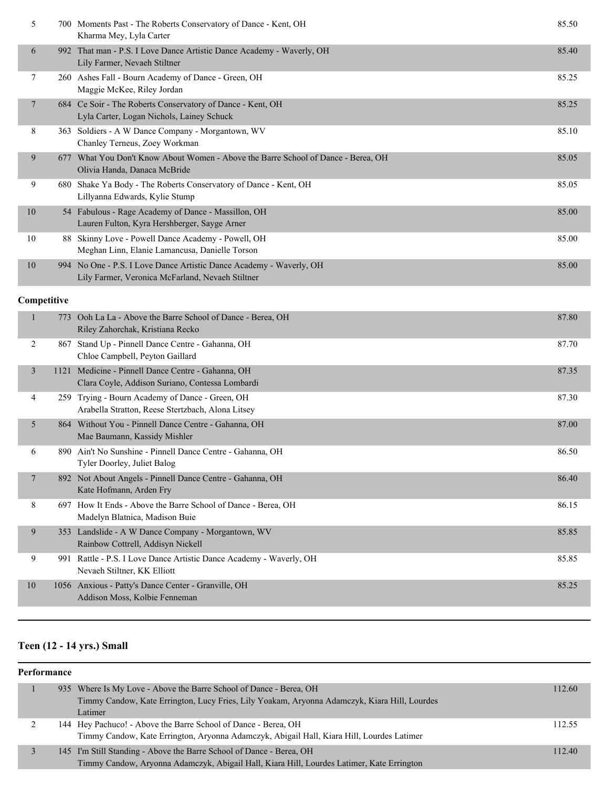| 5                        |     | 700 Moments Past - The Roberts Conservatory of Dance - Kent, OH<br>Kharma Mey, Lyla Carter                              | 85.50 |
|--------------------------|-----|-------------------------------------------------------------------------------------------------------------------------|-------|
| 6                        |     | 992 That man - P.S. I Love Dance Artistic Dance Academy - Waverly, OH<br>Lily Farmer, Nevaeh Stiltner                   | 85.40 |
| 7                        |     | 260 Ashes Fall - Bourn Academy of Dance - Green, OH<br>Maggie McKee, Riley Jordan                                       | 85.25 |
| $\overline{\phantom{a}}$ |     | 684 Ce Soir - The Roberts Conservatory of Dance - Kent, OH<br>Lyla Carter, Logan Nichols, Lainey Schuck                 | 85.25 |
| 8                        |     | 363 Soldiers - A W Dance Company - Morgantown, WV<br>Chanley Terneus, Zoey Workman                                      | 85.10 |
| 9                        |     | 677 What You Don't Know About Women - Above the Barre School of Dance - Berea, OH<br>Olivia Handa, Danaca McBride       | 85.05 |
| 9                        |     | 680 Shake Ya Body - The Roberts Conservatory of Dance - Kent, OH<br>Lillyanna Edwards, Kylie Stump                      | 85.05 |
| 10                       |     | 54 Fabulous - Rage Academy of Dance - Massillon, OH<br>Lauren Fulton, Kyra Hershberger, Sayge Arner                     | 85.00 |
| 10                       |     | 88 Skinny Love - Powell Dance Academy - Powell, OH<br>Meghan Linn, Elanie Lamancusa, Danielle Torson                    | 85.00 |
| 10                       |     | 994 No One - P.S. I Love Dance Artistic Dance Academy - Waverly, OH<br>Lily Farmer, Veronica McFarland, Nevaeh Stiltner | 85.00 |
| Competitive              |     |                                                                                                                         |       |
| 1                        | 773 | Ooh La La - Above the Barre School of Dance - Berea, OH<br>Riley Zahorchak, Kristiana Recko                             | 87.80 |
| 2                        |     | 867 Stand Up - Pinnell Dance Centre - Gahanna, OH<br>Chloe Campbell, Peyton Gaillard                                    | 87.70 |
| 3                        |     | 1121 Medicine - Pinnell Dance Centre - Gahanna, OH<br>Clara Coyle, Addison Suriano, Contessa Lombardi                   | 87.35 |
| 4                        |     | 259 Trying - Bourn Academy of Dance - Green, OH<br>Arabella Stratton, Reese Stertzbach, Alona Litsey                    | 87.30 |
| 5                        |     | 864 Without You - Pinnell Dance Centre - Gahanna, OH<br>Mae Baumann, Kassidy Mishler                                    | 87.00 |
| 6                        |     | 890 Ain't No Sunshine - Pinnell Dance Centre - Gahanna, OH<br>Tyler Doorley, Juliet Balog                               | 86.50 |
| 7                        | 892 | Not About Angels - Pinnell Dance Centre - Gahanna, OH<br>Kate Hofmann, Arden Fry                                        | 86.40 |
| 8                        |     | 697 How It Ends - Above the Barre School of Dance - Berea, OH<br>Madelyn Blatnica, Madison Buie                         | 86.15 |
| 9                        |     | 353 Landslide - A W Dance Company - Morgantown, WV<br>Rainbow Cottrell, Addisyn Nickell                                 | 85.85 |
| 9                        |     | 991 Rattle - P.S. I Love Dance Artistic Dance Academy - Waverly, OH<br>Nevaeh Stiltner, KK Elliott                      | 85.85 |
| 10                       |     | 1056 Anxious - Patty's Dance Center - Granville, OH<br>Addison Moss, Kolbie Fenneman                                    | 85.25 |
|                          |     |                                                                                                                         |       |

# **Teen (12 - 14 yrs.) Small**

| Performance |  |                                                                                                                                                                               |        |
|-------------|--|-------------------------------------------------------------------------------------------------------------------------------------------------------------------------------|--------|
|             |  | 935 Where Is My Love - Above the Barre School of Dance - Berea, OH<br>Timmy Candow, Kate Errington, Lucy Fries, Lily Yoakam, Aryonna Adamczyk, Kiara Hill, Lourdes<br>Latimer | 112.60 |
|             |  | 144 Hey Pachuco! - Above the Barre School of Dance - Berea, OH<br>Timmy Candow, Kate Errington, Aryonna Adamczyk, Abigail Hall, Kiara Hill, Lourdes Latimer                   | 112.55 |
|             |  | 145 I'm Still Standing - Above the Barre School of Dance - Berea, OH<br>Timmy Candow, Aryonna Adamczyk, Abigail Hall, Kiara Hill, Lourdes Latimer, Kate Errington             | 112.40 |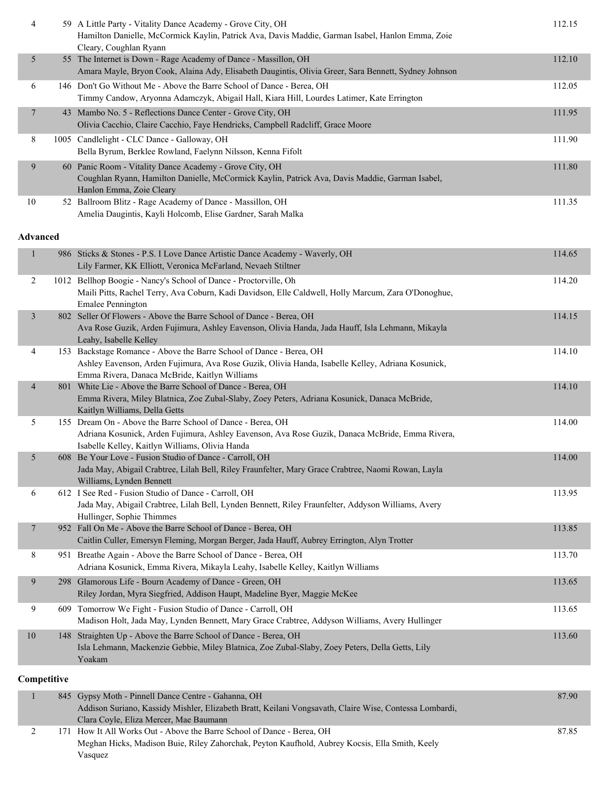| 4               | 59 A Little Party - Vitality Dance Academy - Grove City, OH<br>Hamilton Danielle, McCormick Kaylin, Patrick Ava, Davis Maddie, Garman Isabel, Hanlon Emma, Zoie<br>Cleary, Coughlan Ryann                                 | 112.15 |
|-----------------|---------------------------------------------------------------------------------------------------------------------------------------------------------------------------------------------------------------------------|--------|
| 5               | 55 The Internet is Down - Rage Academy of Dance - Massillon, OH<br>Amara Mayle, Bryon Cook, Alaina Ady, Elisabeth Daugintis, Olivia Greer, Sara Bennett, Sydney Johnson                                                   | 112.10 |
| 6               | 146 Don't Go Without Me - Above the Barre School of Dance - Berea, OH<br>Timmy Candow, Aryonna Adamczyk, Abigail Hall, Kiara Hill, Lourdes Latimer, Kate Errington                                                        | 112.05 |
| $\overline{7}$  | 43 Mambo No. 5 - Reflections Dance Center - Grove City, OH<br>Olivia Cacchio, Claire Cacchio, Faye Hendricks, Campbell Radcliff, Grace Moore                                                                              | 111.95 |
| 8               | 1005 Candlelight - CLC Dance - Galloway, OH<br>Bella Byrum, Berklee Rowland, Faelynn Nilsson, Kenna Fifolt                                                                                                                | 111.90 |
| 9               | 60 Panic Room - Vitality Dance Academy - Grove City, OH<br>Coughlan Ryann, Hamilton Danielle, McCormick Kaylin, Patrick Ava, Davis Maddie, Garman Isabel,<br>Hanlon Emma, Zoie Cleary                                     | 111.80 |
| 10              | 52 Ballroom Blitz - Rage Academy of Dance - Massillon, OH<br>Amelia Daugintis, Kayli Holcomb, Elise Gardner, Sarah Malka                                                                                                  | 111.35 |
| <b>Advanced</b> |                                                                                                                                                                                                                           |        |
| $\mathbf{1}$    | 986 Sticks & Stones - P.S. I Love Dance Artistic Dance Academy - Waverly, OH<br>Lily Farmer, KK Elliott, Veronica McFarland, Nevaeh Stiltner                                                                              | 114.65 |
| 2               | 1012 Bellhop Boogie - Nancy's School of Dance - Proctorville, Oh<br>Maili Pitts, Rachel Terry, Ava Coburn, Kadi Davidson, Elle Caldwell, Holly Marcum, Zara O'Donoghue,<br><b>Emalee Pennington</b>                       | 114.20 |
| $\mathfrak{Z}$  | 802 Seller Of Flowers - Above the Barre School of Dance - Berea, OH<br>Ava Rose Guzik, Arden Fujimura, Ashley Eavenson, Olivia Handa, Jada Hauff, Isla Lehmann, Mikayla<br>Leahy, Isabelle Kelley                         | 114.15 |
| 4               | 153 Backstage Romance - Above the Barre School of Dance - Berea, OH<br>Ashley Eavenson, Arden Fujimura, Ava Rose Guzik, Olivia Handa, Isabelle Kelley, Adriana Kosunick,<br>Emma Rivera, Danaca McBride, Kaitlyn Williams | 114.10 |
| $\overline{4}$  | 801 White Lie - Above the Barre School of Dance - Berea, OH<br>Emma Rivera, Miley Blatnica, Zoe Zubal-Slaby, Zoey Peters, Adriana Kosunick, Danaca McBride,<br>Kaitlyn Williams, Della Getts                              | 114.10 |
| 5               | 155 Dream On - Above the Barre School of Dance - Berea, OH<br>Adriana Kosunick, Arden Fujimura, Ashley Eavenson, Ava Rose Guzik, Danaca McBride, Emma Rivera,<br>Isabelle Kelley, Kaitlyn Williams, Olivia Handa          | 114.00 |
| 5               | 608 Be Your Love - Fusion Studio of Dance - Carroll, OH<br>Jada May, Abigail Crabtree, Lilah Bell, Riley Fraunfelter, Mary Grace Crabtree, Naomi Rowan, Layla<br>Williams, Lynden Bennett                                 | 114.00 |
| 6               | 612 I See Red - Fusion Studio of Dance - Carroll, OH<br>Jada May, Abigail Crabtree, Lilah Bell, Lynden Bennett, Riley Fraunfelter, Addyson Williams, Avery<br>Hullinger, Sophie Thimmes                                   | 113.95 |
| 7               | 952 Fall On Me - Above the Barre School of Dance - Berea, OH<br>Caitlin Culler, Emersyn Fleming, Morgan Berger, Jada Hauff, Aubrey Errington, Alyn Trotter                                                                | 113.85 |
| 8               | 951 Breathe Again - Above the Barre School of Dance - Berea, OH<br>Adriana Kosunick, Emma Rivera, Mikayla Leahy, Isabelle Kelley, Kaitlyn Williams                                                                        | 113.70 |
| 9               | 298 Glamorous Life - Bourn Academy of Dance - Green, OH<br>Riley Jordan, Myra Siegfried, Addison Haupt, Madeline Byer, Maggie McKee                                                                                       | 113.65 |
| 9               | 609 Tomorrow We Fight - Fusion Studio of Dance - Carroll, OH<br>Madison Holt, Jada May, Lynden Bennett, Mary Grace Crabtree, Addyson Williams, Avery Hullinger                                                            | 113.65 |
| 10              | 148 Straighten Up - Above the Barre School of Dance - Berea, OH<br>Isla Lehmann, Mackenzie Gebbie, Miley Blatnica, Zoe Zubal-Slaby, Zoey Peters, Della Getts, Lily<br>Yoakam                                              | 113.60 |
| Competitive     |                                                                                                                                                                                                                           |        |

|  | 845 Gypsy Moth - Pinnell Dance Centre - Gahanna, OH                                                    | 87.90 |
|--|--------------------------------------------------------------------------------------------------------|-------|
|  | Addison Suriano, Kassidy Mishler, Elizabeth Bratt, Keilani Vongsavath, Claire Wise, Contessa Lombardi, |       |
|  | Clara Coyle, Eliza Mercer, Mae Baumann                                                                 |       |
|  | 171 How It All Works Out - Above the Barre School of Dance - Berea, OH                                 | 87.85 |
|  | Meghan Hicks, Madison Buie, Riley Zahorchak, Peyton Kaufhold, Aubrey Kocsis, Ella Smith, Keely         |       |
|  | Vasquez                                                                                                |       |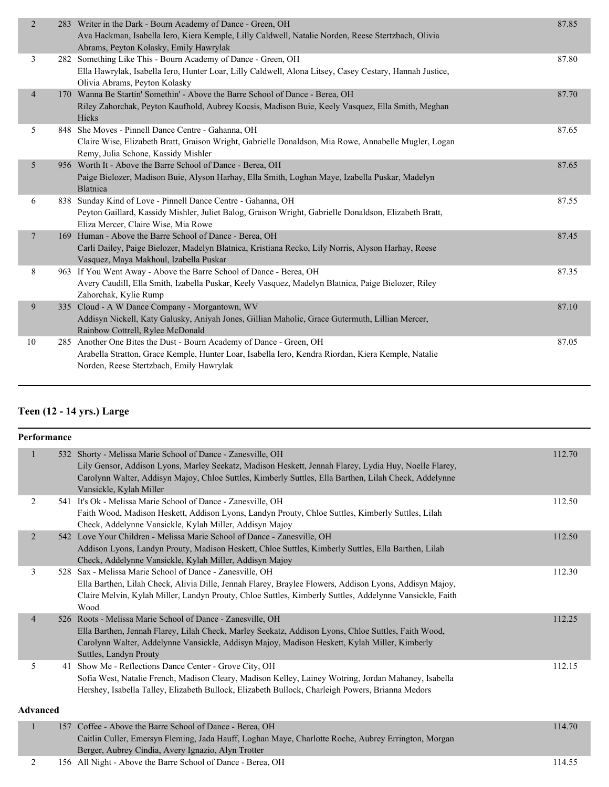| 2              | 283 Writer in the Dark - Bourn Academy of Dance - Green, OH<br>Ava Hackman, Isabella Iero, Kiera Kemple, Lilly Caldwell, Natalie Norden, Reese Stertzbach, Olivia<br>Abrams, Peyton Kolasky, Emily Hawrylak           | 87.85 |
|----------------|-----------------------------------------------------------------------------------------------------------------------------------------------------------------------------------------------------------------------|-------|
| 3              | 282 Something Like This - Bourn Academy of Dance - Green, OH<br>Ella Hawrylak, Isabella Iero, Hunter Loar, Lilly Caldwell, Alona Litsey, Casey Cestary, Hannah Justice,<br>Olivia Abrams, Peyton Kolasky              | 87.80 |
| $\overline{4}$ | 170 Wanna Be Startin' Somethin' - Above the Barre School of Dance - Berea, OH<br>Riley Zahorchak, Peyton Kaufhold, Aubrey Kocsis, Madison Buie, Keely Vasquez, Ella Smith, Meghan<br>Hicks                            | 87.70 |
| 5              | 848 She Moves - Pinnell Dance Centre - Gahanna, OH<br>Claire Wise, Elizabeth Bratt, Graison Wright, Gabrielle Donaldson, Mia Rowe, Annabelle Mugler, Logan<br>Remy, Julia Schone, Kassidy Mishler                     | 87.65 |
| 5              | 956 Worth It - Above the Barre School of Dance - Berea, OH<br>Paige Bielozer, Madison Buie, Alyson Harhay, Ella Smith, Loghan Maye, Izabella Puskar, Madelyn<br>Blatnica                                              | 87.65 |
| 6              | 838 Sunday Kind of Love - Pinnell Dance Centre - Gahanna, OH<br>Peyton Gaillard, Kassidy Mishler, Juliet Balog, Graison Wright, Gabrielle Donaldson, Elizabeth Bratt,<br>Eliza Mercer, Claire Wise, Mia Rowe          | 87.55 |
| 7              | 169 Human - Above the Barre School of Dance - Berea, OH<br>Carli Dailey, Paige Bielozer, Madelyn Blatnica, Kristiana Recko, Lily Norris, Alyson Harhay, Reese<br>Vasquez, Maya Makhoul, Izabella Puskar               | 87.45 |
| 8              | 963 If You Went Away - Above the Barre School of Dance - Berea, OH<br>Avery Caudill, Ella Smith, Izabella Puskar, Keely Vasquez, Madelyn Blatnica, Paige Bielozer, Riley<br>Zahorchak, Kylie Rump                     | 87.35 |
| 9              | 335 Cloud - A W Dance Company - Morgantown, WV<br>Addisyn Nickell, Katy Galusky, Aniyah Jones, Gillian Maholic, Grace Gutermuth, Lillian Mercer,<br>Rainbow Cottrell, Rylee McDonald                                  | 87.10 |
| 10             | 285 Another One Bites the Dust - Bourn Academy of Dance - Green, OH<br>Arabella Stratton, Grace Kemple, Hunter Loar, Isabella Iero, Kendra Riordan, Kiera Kemple, Natalie<br>Norden, Reese Stertzbach, Emily Hawrylak | 87.05 |

# **Teen (12 - 14 yrs.) Large**

|                | Performance     |                                                                                                                                                                                                                                                                                                          |        |
|----------------|-----------------|----------------------------------------------------------------------------------------------------------------------------------------------------------------------------------------------------------------------------------------------------------------------------------------------------------|--------|
| $\mathbf{1}$   |                 | 532 Shorty - Melissa Marie School of Dance - Zanesville, OH<br>Lily Gensor, Addison Lyons, Marley Seekatz, Madison Heskett, Jennah Flarey, Lydia Huy, Noelle Flarey,<br>Carolynn Walter, Addisyn Majoy, Chloe Suttles, Kimberly Suttles, Ella Barthen, Lilah Check, Addelynne<br>Vansickle, Kylah Miller | 112.70 |
| 2              |                 | 541 It's Ok - Melissa Marie School of Dance - Zanesville, OH<br>Faith Wood, Madison Heskett, Addison Lyons, Landyn Prouty, Chloe Suttles, Kimberly Suttles, Lilah<br>Check, Addelynne Vansickle, Kylah Miller, Addisyn Majoy                                                                             | 112.50 |
| $\overline{2}$ |                 | 542 Love Your Children - Melissa Marie School of Dance - Zanesville, OH<br>Addison Lyons, Landyn Prouty, Madison Heskett, Chloe Suttles, Kimberly Suttles, Ella Barthen, Lilah<br>Check, Addelynne Vansickle, Kylah Miller, Addisyn Majoy                                                                | 112.50 |
| 3              |                 | 528 Sax - Melissa Marie School of Dance - Zanesville, OH<br>Ella Barthen, Lilah Check, Alivia Dille, Jennah Flarey, Braylee Flowers, Addison Lyons, Addisyn Majoy,<br>Claire Melvin, Kylah Miller, Landyn Prouty, Chloe Suttles, Kimberly Suttles, Addelynne Vansickle, Faith<br>Wood                    | 112.30 |
| $\overline{4}$ |                 | 526 Roots - Melissa Marie School of Dance - Zanesville, OH<br>Ella Barthen, Jennah Flarey, Lilah Check, Marley Seekatz, Addison Lyons, Chloe Suttles, Faith Wood,<br>Carolynn Walter, Addelynne Vansickle, Addisyn Majoy, Madison Heskett, Kylah Miller, Kimberly<br>Suttles, Landyn Prouty              | 112.25 |
| 5              |                 | 41 Show Me - Reflections Dance Center - Grove City, OH<br>Sofia West, Natalie French, Madison Cleary, Madison Kelley, Lainey Wotring, Jordan Mahaney, Isabella<br>Hershey, Isabella Talley, Elizabeth Bullock, Elizabeth Bullock, Charleigh Powers, Brianna Medors                                       | 112.15 |
|                | <b>Advanced</b> |                                                                                                                                                                                                                                                                                                          |        |
| $\mathbf{1}$   |                 | 157 Coffee - Above the Barre School of Dance - Berea, OH<br>Caitlin Culler, Emersyn Fleming, Jada Hauff, Loghan Maye, Charlotte Roche, Aubrey Errington, Morgan<br>Berger, Aubrey Cindia, Avery Ignazio, Alyn Trotter                                                                                    | 114.70 |
| 2              |                 | 156 All Night - Above the Barre School of Dance - Berea, OH                                                                                                                                                                                                                                              | 114.55 |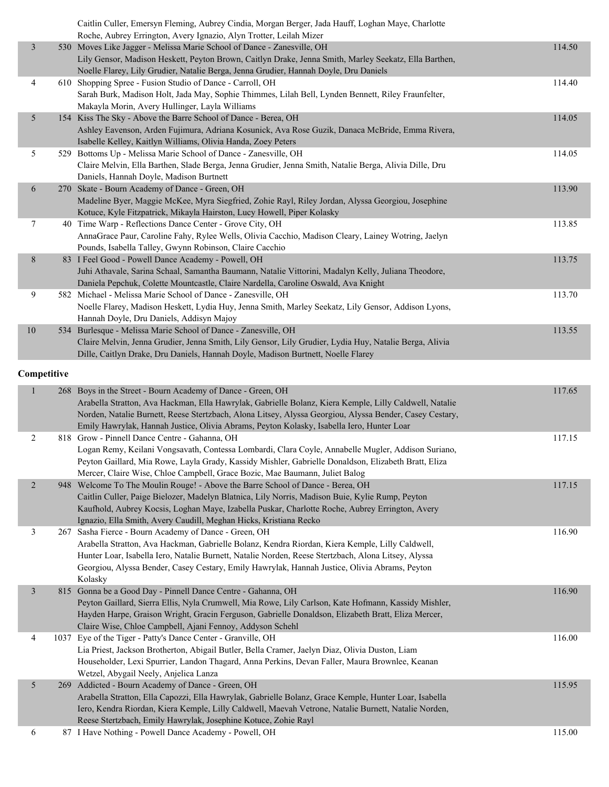|                         | Caitlin Culler, Emersyn Fleming, Aubrey Cindia, Morgan Berger, Jada Hauff, Loghan Maye, Charlotte<br>Roche, Aubrey Errington, Avery Ignazio, Alyn Trotter, Leilah Mizer |        |
|-------------------------|-------------------------------------------------------------------------------------------------------------------------------------------------------------------------|--------|
| $\overline{\mathbf{3}}$ | 530 Moves Like Jagger - Melissa Marie School of Dance - Zanesville, OH                                                                                                  | 114.50 |
|                         | Lily Gensor, Madison Heskett, Peyton Brown, Caitlyn Drake, Jenna Smith, Marley Seekatz, Ella Barthen,                                                                   |        |
|                         | Noelle Flarey, Lily Grudier, Natalie Berga, Jenna Grudier, Hannah Doyle, Dru Daniels                                                                                    |        |
| 4                       | 610 Shopping Spree - Fusion Studio of Dance - Carroll, OH                                                                                                               | 114.40 |
|                         | Sarah Burk, Madison Holt, Jada May, Sophie Thimmes, Lilah Bell, Lynden Bennett, Riley Fraunfelter,                                                                      |        |
|                         | Makayla Morin, Avery Hullinger, Layla Williams                                                                                                                          |        |
| 5                       | 154 Kiss The Sky - Above the Barre School of Dance - Berea, OH                                                                                                          | 114.05 |
|                         | Ashley Eavenson, Arden Fujimura, Adriana Kosunick, Ava Rose Guzik, Danaca McBride, Emma Rivera,                                                                         |        |
|                         | Isabelle Kelley, Kaitlyn Williams, Olivia Handa, Zoey Peters                                                                                                            |        |
| 5                       | 529 Bottoms Up - Melissa Marie School of Dance - Zanesville, OH                                                                                                         | 114.05 |
|                         | Claire Melvin, Ella Barthen, Slade Berga, Jenna Grudier, Jenna Smith, Natalie Berga, Alivia Dille, Dru                                                                  |        |
|                         | Daniels, Hannah Doyle, Madison Burtnett                                                                                                                                 |        |
| 6                       | 270 Skate - Bourn Academy of Dance - Green, OH                                                                                                                          | 113.90 |
|                         | Madeline Byer, Maggie McKee, Myra Siegfried, Zohie Rayl, Riley Jordan, Alyssa Georgiou, Josephine                                                                       |        |
|                         | Kotuce, Kyle Fitzpatrick, Mikayla Hairston, Lucy Howell, Piper Kolasky                                                                                                  |        |
| $\tau$                  | 40 Time Warp - Reflections Dance Center - Grove City, OH                                                                                                                | 113.85 |
|                         | AnnaGrace Paur, Caroline Fahy, Rylee Wells, Olivia Cacchio, Madison Cleary, Lainey Wotring, Jaelyn                                                                      |        |
|                         | Pounds, Isabella Talley, Gwynn Robinson, Claire Cacchio                                                                                                                 |        |
| $8\,$                   | 83 I Feel Good - Powell Dance Academy - Powell, OH                                                                                                                      | 113.75 |
|                         | Juhi Athavale, Sarina Schaal, Samantha Baumann, Natalie Vittorini, Madalyn Kelly, Juliana Theodore,                                                                     |        |
|                         | Daniela Pepchuk, Colette Mountcastle, Claire Nardella, Caroline Oswald, Ava Knight                                                                                      |        |
| 9                       | 582 Michael - Melissa Marie School of Dance - Zanesville, OH                                                                                                            | 113.70 |
|                         | Noelle Flarey, Madison Heskett, Lydia Huy, Jenna Smith, Marley Seekatz, Lily Gensor, Addison Lyons,                                                                     |        |
|                         | Hannah Doyle, Dru Daniels, Addisyn Majoy                                                                                                                                |        |
| $10\,$                  | 534 Burlesque - Melissa Marie School of Dance - Zanesville, OH                                                                                                          | 113.55 |
|                         | Claire Melvin, Jenna Grudier, Jenna Smith, Lily Gensor, Lily Grudier, Lydia Huy, Natalie Berga, Alivia                                                                  |        |
|                         | Dille, Caitlyn Drake, Dru Daniels, Hannah Doyle, Madison Burtnett, Noelle Flarey                                                                                        |        |
|                         |                                                                                                                                                                         |        |
|                         |                                                                                                                                                                         |        |
| Competitive             |                                                                                                                                                                         |        |
| $\mathbf{1}$            | 268 Boys in the Street - Bourn Academy of Dance - Green, OH                                                                                                             | 117.65 |
|                         | Arabella Stratton, Ava Hackman, Ella Hawrylak, Gabrielle Bolanz, Kiera Kemple, Lilly Caldwell, Natalie                                                                  |        |
|                         | Norden, Natalie Burnett, Reese Stertzbach, Alona Litsey, Alyssa Georgiou, Alyssa Bender, Casey Cestary,                                                                 |        |
|                         | Emily Hawrylak, Hannah Justice, Olivia Abrams, Peyton Kolasky, Isabella Iero, Hunter Loar                                                                               |        |
| 2                       | 818 Grow - Pinnell Dance Centre - Gahanna, OH                                                                                                                           | 117.15 |
|                         | Logan Remy, Keilani Vongsavath, Contessa Lombardi, Clara Coyle, Annabelle Mugler, Addison Suriano,                                                                      |        |
|                         | Peyton Gaillard, Mia Rowe, Layla Grady, Kassidy Mishler, Gabrielle Donaldson, Elizabeth Bratt, Eliza                                                                    |        |
|                         | Mercer, Claire Wise, Chloe Campbell, Grace Bozic, Mae Baumann, Juliet Balog                                                                                             |        |
| $\overline{2}$          | 948 Welcome To The Moulin Rouge! - Above the Barre School of Dance - Berea, OH                                                                                          | 117.15 |
|                         | Caitlin Culler, Paige Bielozer, Madelyn Blatnica, Lily Norris, Madison Buie, Kylie Rump, Peyton                                                                         |        |
|                         | Kaufhold, Aubrey Kocsis, Loghan Maye, Izabella Puskar, Charlotte Roche, Aubrey Errington, Avery                                                                         |        |
|                         | Ignazio, Ella Smith, Avery Caudill, Meghan Hicks, Kristiana Recko                                                                                                       |        |
| 3                       | 267 Sasha Fierce - Bourn Academy of Dance - Green, OH                                                                                                                   | 116.90 |
|                         | Arabella Stratton, Ava Hackman, Gabrielle Bolanz, Kendra Riordan, Kiera Kemple, Lilly Caldwell,                                                                         |        |
|                         | Hunter Loar, Isabella Iero, Natalie Burnett, Natalie Norden, Reese Stertzbach, Alona Litsey, Alyssa                                                                     |        |
|                         | Georgiou, Alyssa Bender, Casey Cestary, Emily Hawrylak, Hannah Justice, Olivia Abrams, Peyton                                                                           |        |
|                         | Kolasky                                                                                                                                                                 |        |
| $\mathfrak{Z}$          | 815 Gonna be a Good Day - Pinnell Dance Centre - Gahanna, OH                                                                                                            | 116.90 |
|                         | Peyton Gaillard, Sierra Ellis, Nyla Crumwell, Mia Rowe, Lily Carlson, Kate Hofmann, Kassidy Mishler,                                                                    |        |
|                         | Hayden Harpe, Graison Wright, Gracin Ferguson, Gabrielle Donaldson, Elizabeth Bratt, Eliza Mercer,                                                                      |        |
| 4                       | Claire Wise, Chloe Campbell, Ajani Fennoy, Addyson Schehl<br>1037 Eye of the Tiger - Patty's Dance Center - Granville, OH                                               | 116.00 |
|                         | Lia Priest, Jackson Brotherton, Abigail Butler, Bella Cramer, Jaelyn Diaz, Olivia Duston, Liam                                                                          |        |
|                         | Householder, Lexi Spurrier, Landon Thagard, Anna Perkins, Devan Faller, Maura Brownlee, Keanan                                                                          |        |
|                         | Wetzel, Abygail Neely, Anjelica Lanza                                                                                                                                   |        |
| 5                       | 269 Addicted - Bourn Academy of Dance - Green, OH                                                                                                                       | 115.95 |
|                         | Arabella Stratton, Ella Capozzi, Ella Hawrylak, Gabrielle Bolanz, Grace Kemple, Hunter Loar, Isabella                                                                   |        |
|                         | Iero, Kendra Riordan, Kiera Kemple, Lilly Caldwell, Maevah Vetrone, Natalie Burnett, Natalie Norden,                                                                    |        |
|                         | Reese Stertzbach, Emily Hawrylak, Josephine Kotuce, Zohie Rayl<br>87 I Have Nothing - Powell Dance Academy - Powell, OH                                                 |        |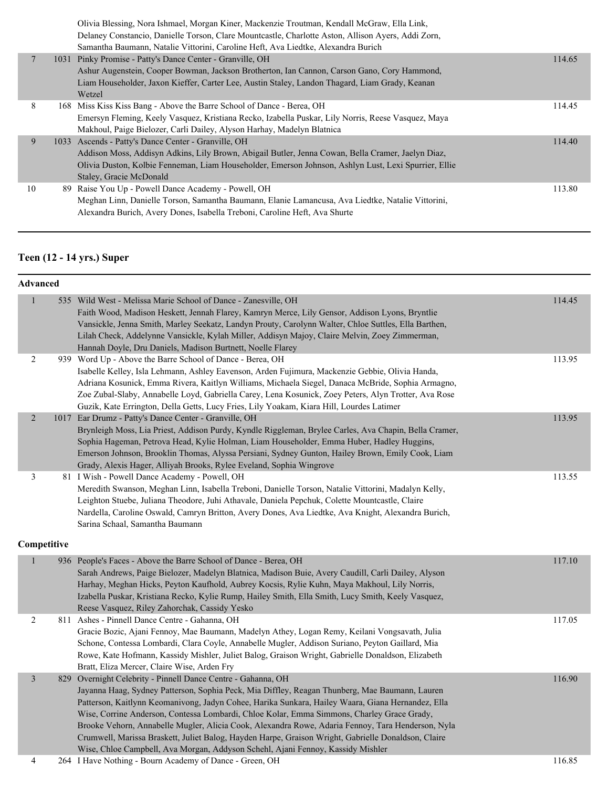|    |     | Olivia Blessing, Nora Ishmael, Morgan Kiner, Mackenzie Troutman, Kendall McGraw, Ella Link,          |        |
|----|-----|------------------------------------------------------------------------------------------------------|--------|
|    |     | Delaney Constancio, Danielle Torson, Clare Mountcastle, Charlotte Aston, Allison Ayers, Addi Zorn,   |        |
|    |     | Samantha Baumann, Natalie Vittorini, Caroline Heft, Ava Liedtke, Alexandra Burich                    |        |
|    |     | 1031 Pinky Promise - Patty's Dance Center - Granville, OH                                            | 114.65 |
|    |     | Ashur Augenstein, Cooper Bowman, Jackson Brotherton, Ian Cannon, Carson Gano, Cory Hammond,          |        |
|    |     | Liam Householder, Jaxon Kieffer, Carter Lee, Austin Staley, Landon Thagard, Liam Grady, Keanan       |        |
|    |     | Wetzel                                                                                               |        |
| 8  |     | 168 Miss Kiss Kiss Bang - Above the Barre School of Dance - Berea, OH                                | 114.45 |
|    |     | Emersyn Fleming, Keely Vasquez, Kristiana Recko, Izabella Puskar, Lily Norris, Reese Vasquez, Maya   |        |
|    |     | Makhoul, Paige Bielozer, Carli Dailey, Alyson Harhay, Madelyn Blatnica                               |        |
| 9  |     | 1033 Ascends - Patty's Dance Center - Granville, OH                                                  | 114.40 |
|    |     | Addison Moss, Addisyn Adkins, Lily Brown, Abigail Butler, Jenna Cowan, Bella Cramer, Jaelyn Diaz,    |        |
|    |     | Olivia Duston, Kolbie Fenneman, Liam Householder, Emerson Johnson, Ashlyn Lust, Lexi Spurrier, Ellie |        |
|    |     | Staley, Gracie McDonald                                                                              |        |
| 10 | 89. | Raise You Up - Powell Dance Academy - Powell, OH                                                     | 113.80 |
|    |     | Meghan Linn, Danielle Torson, Samantha Baumann, Elanie Lamancusa, Ava Liedtke, Natalie Vittorini,    |        |
|    |     | Alexandra Burich, Avery Dones, Isabella Treboni, Caroline Heft, Ava Shurte                           |        |
|    |     |                                                                                                      |        |

#### **Teen (12 - 14 yrs.) Super**

#### **Advanced**

| 1              |     | 535 Wild West - Melissa Marie School of Dance - Zanesville, OH<br>Faith Wood, Madison Heskett, Jennah Flarey, Kamryn Merce, Lily Gensor, Addison Lyons, Bryntlie<br>Vansickle, Jenna Smith, Marley Seekatz, Landyn Prouty, Carolynn Walter, Chloe Suttles, Ella Barthen,<br>Lilah Check, Addelynne Vansickle, Kylah Miller, Addisyn Majoy, Claire Melvin, Zoey Zimmerman,<br>Hannah Doyle, Dru Daniels, Madison Burtnett, Noelle Flarey                               | 114.45 |
|----------------|-----|-----------------------------------------------------------------------------------------------------------------------------------------------------------------------------------------------------------------------------------------------------------------------------------------------------------------------------------------------------------------------------------------------------------------------------------------------------------------------|--------|
| 2              |     | 939 Word Up - Above the Barre School of Dance - Berea, OH<br>Isabelle Kelley, Isla Lehmann, Ashley Eavenson, Arden Fujimura, Mackenzie Gebbie, Olivia Handa,<br>Adriana Kosunick, Emma Rivera, Kaitlyn Williams, Michaela Siegel, Danaca McBride, Sophia Armagno,<br>Zoe Zubal-Slaby, Annabelle Loyd, Gabriella Carey, Lena Kosunick, Zoey Peters, Alyn Trotter, Ava Rose<br>Guzik, Kate Errington, Della Getts, Lucy Fries, Lily Yoakam, Kiara Hill, Lourdes Latimer | 113.95 |
| 2              |     | 1017 Ear Drumz - Patty's Dance Center - Granville, OH<br>Brynleigh Moss, Lia Priest, Addison Purdy, Kyndle Riggleman, Brylee Carles, Ava Chapin, Bella Cramer,<br>Sophia Hageman, Petrova Head, Kylie Holman, Liam Householder, Emma Huber, Hadley Huggins,<br>Emerson Johnson, Brooklin Thomas, Alyssa Persiani, Sydney Gunton, Hailey Brown, Emily Cook, Liam<br>Grady, Alexis Hager, Alliyah Brooks, Rylee Eveland, Sophia Wingrove                                | 113.95 |
| 3              |     | 81 I Wish - Powell Dance Academy - Powell, OH<br>Meredith Swanson, Meghan Linn, Isabella Treboni, Danielle Torson, Natalie Vittorini, Madalyn Kelly,<br>Leighton Stuebe, Juliana Theodore, Juhi Athavale, Daniela Pepchuk, Colette Mountcastle, Claire<br>Nardella, Caroline Oswald, Camryn Britton, Avery Dones, Ava Liedtke, Ava Knight, Alexandra Burich,<br>Sarina Schaal, Samantha Baumann                                                                       | 113.55 |
| Competitive    |     |                                                                                                                                                                                                                                                                                                                                                                                                                                                                       |        |
| 1              |     | 936 People's Faces - Above the Barre School of Dance - Berea, OH<br>Sarah Andrews, Paige Bielozer, Madelyn Blatnica, Madison Buie, Avery Caudill, Carli Dailey, Alyson<br>Harhay, Meghan Hicks, Peyton Kaufhold, Aubrey Kocsis, Rylie Kuhn, Maya Makhoul, Lily Norris,<br>Izabella Puskar, Kristiana Recko, Kylie Rump, Hailey Smith, Ella Smith, Lucy Smith, Keely Vasquez,<br>Reese Vasquez, Riley Zahorchak, Cassidy Yesko                                         | 117.10 |
| $\overline{2}$ | 811 | Ashes - Pinnell Dance Centre - Gahanna, OH<br>Gracie Bozic, Ajani Fennoy, Mae Baumann, Madelyn Athey, Logan Remy, Keilani Vongsavath, Julia<br>Schone, Contessa Lombardi, Clara Coyle, Annabelle Mugler, Addison Suriano, Peyton Gaillard, Mia                                                                                                                                                                                                                        | 117.05 |

#### Rowe, Kate Hofmann, Kassidy Mishler, Juliet Balog, Graison Wright, Gabrielle Donaldson, Elizabeth Bratt, Eliza Mercer, Claire Wise, Arden Fry 3 829 Overnight Celebrity - Pinnell Dance Centre - Gahanna, OH 116.90 Jayanna Haag, Sydney Patterson, Sophia Peck, Mia Diffley, Reagan Thunberg, Mae Baumann, Lauren Patterson, Kaitlynn Keomanivong, Jadyn Cohee, Harika Sunkara, Hailey Waara, Giana Hernandez, Ella Wise, Corrine Anderson, Contessa Lombardi, Chloe Kolar, Emma Simmons, Charley Grace Grady, Brooke Vehorn, Annabelle Mugler, Alicia Cook, Alexandra Rowe, Adaria Fennoy, Tara Henderson, Nyla Crumwell, Marissa Braskett, Juliet Balog, Hayden Harpe, Graison Wright, Gabrielle Donaldson, Claire Wise, Chloe Campbell, Ava Morgan, Addyson Schehl, Ajani Fennoy, Kassidy Mishler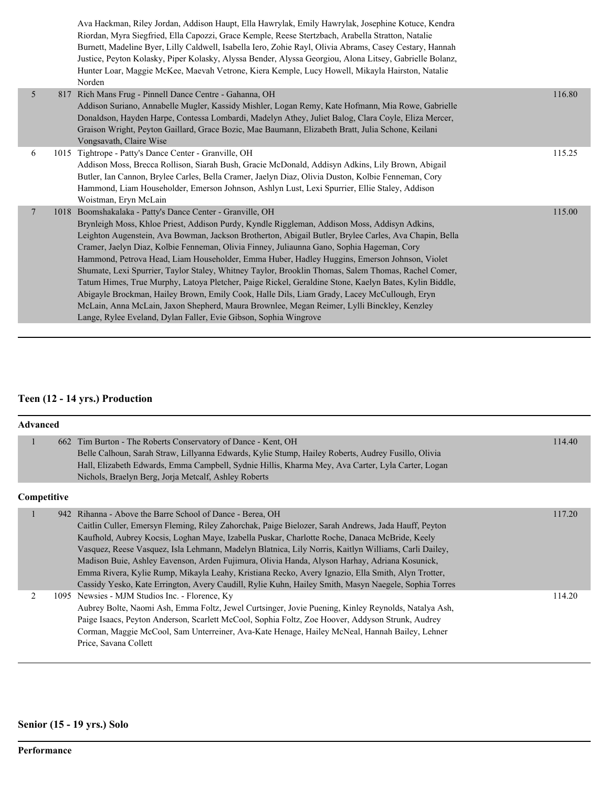|                 | Ava Hackman, Riley Jordan, Addison Haupt, Ella Hawrylak, Emily Hawrylak, Josephine Kotuce, Kendra<br>Riordan, Myra Siegfried, Ella Capozzi, Grace Kemple, Reese Stertzbach, Arabella Stratton, Natalie<br>Burnett, Madeline Byer, Lilly Caldwell, Isabella Iero, Zohie Rayl, Olivia Abrams, Casey Cestary, Hannah<br>Justice, Peyton Kolasky, Piper Kolasky, Alyssa Bender, Alyssa Georgiou, Alona Litsey, Gabrielle Bolanz,<br>Hunter Loar, Maggie McKee, Maevah Vetrone, Kiera Kemple, Lucy Howell, Mikayla Hairston, Natalie<br>Norden                                                                                                                                                                                                                                                                                                                                                                                                        |        |
|-----------------|--------------------------------------------------------------------------------------------------------------------------------------------------------------------------------------------------------------------------------------------------------------------------------------------------------------------------------------------------------------------------------------------------------------------------------------------------------------------------------------------------------------------------------------------------------------------------------------------------------------------------------------------------------------------------------------------------------------------------------------------------------------------------------------------------------------------------------------------------------------------------------------------------------------------------------------------------|--------|
| $\overline{5}$  | 817 Rich Mans Frug - Pinnell Dance Centre - Gahanna, OH<br>Addison Suriano, Annabelle Mugler, Kassidy Mishler, Logan Remy, Kate Hofmann, Mia Rowe, Gabrielle<br>Donaldson, Hayden Harpe, Contessa Lombardi, Madelyn Athey, Juliet Balog, Clara Coyle, Eliza Mercer,<br>Graison Wright, Peyton Gaillard, Grace Bozic, Mae Baumann, Elizabeth Bratt, Julia Schone, Keilani<br>Vongsavath, Claire Wise                                                                                                                                                                                                                                                                                                                                                                                                                                                                                                                                              | 116.80 |
| 6               | 1015 Tightrope - Patty's Dance Center - Granville, OH<br>Addison Moss, Brecca Rollison, Siarah Bush, Gracie McDonald, Addisyn Adkins, Lily Brown, Abigail<br>Butler, Ian Cannon, Brylee Carles, Bella Cramer, Jaelyn Diaz, Olivia Duston, Kolbie Fenneman, Cory<br>Hammond, Liam Householder, Emerson Johnson, Ashlyn Lust, Lexi Spurrier, Ellie Staley, Addison<br>Woistman, Eryn McLain                                                                                                                                                                                                                                                                                                                                                                                                                                                                                                                                                        | 115.25 |
| $7\phantom{.0}$ | 1018 Boomshakalaka - Patty's Dance Center - Granville, OH<br>Brynleigh Moss, Khloe Priest, Addison Purdy, Kyndle Riggleman, Addison Moss, Addisyn Adkins,<br>Leighton Augenstein, Ava Bowman, Jackson Brotherton, Abigail Butler, Brylee Carles, Ava Chapin, Bella<br>Cramer, Jaelyn Diaz, Kolbie Fenneman, Olivia Finney, Juliaunna Gano, Sophia Hageman, Cory<br>Hammond, Petrova Head, Liam Householder, Emma Huber, Hadley Huggins, Emerson Johnson, Violet<br>Shumate, Lexi Spurrier, Taylor Staley, Whitney Taylor, Brooklin Thomas, Salem Thomas, Rachel Comer,<br>Tatum Himes, True Murphy, Latoya Pletcher, Paige Rickel, Geraldine Stone, Kaelyn Bates, Kylin Biddle,<br>Abigayle Brockman, Hailey Brown, Emily Cook, Halle Dils, Liam Grady, Lacey McCullough, Eryn<br>McLain, Anna McLain, Jaxon Shepherd, Maura Brownlee, Megan Reimer, Lylli Binckley, Kenzley<br>Lange, Rylee Eveland, Dylan Faller, Evie Gibson, Sophia Wingrove | 115.00 |

# **Teen (12 - 14 yrs.) Production**

|                | <b>Advanced</b> |                                                                                                                                                                                                                                                                                                                                                                                                                                                                                                                                                                                                                                                                                         |        |  |
|----------------|-----------------|-----------------------------------------------------------------------------------------------------------------------------------------------------------------------------------------------------------------------------------------------------------------------------------------------------------------------------------------------------------------------------------------------------------------------------------------------------------------------------------------------------------------------------------------------------------------------------------------------------------------------------------------------------------------------------------------|--------|--|
|                |                 | 662 Tim Burton - The Roberts Conservatory of Dance - Kent, OH<br>Belle Calhoun, Sarah Straw, Lillyanna Edwards, Kylie Stump, Hailey Roberts, Audrey Fusillo, Olivia<br>Hall, Elizabeth Edwards, Emma Campbell, Sydnie Hillis, Kharma Mey, Ava Carter, Lyla Carter, Logan<br>Nichols, Braelyn Berg, Jorja Metcalf, Ashley Roberts                                                                                                                                                                                                                                                                                                                                                        | 114.40 |  |
| Competitive    |                 |                                                                                                                                                                                                                                                                                                                                                                                                                                                                                                                                                                                                                                                                                         |        |  |
|                |                 | 942 Rihanna - Above the Barre School of Dance - Berea, OH<br>Caitlin Culler, Emersyn Fleming, Riley Zahorchak, Paige Bielozer, Sarah Andrews, Jada Hauff, Peyton<br>Kaufhold, Aubrey Kocsis, Loghan Maye, Izabella Puskar, Charlotte Roche, Danaca McBride, Keely<br>Vasquez, Reese Vasquez, Isla Lehmann, Madelyn Blatnica, Lily Norris, Kaitlyn Williams, Carli Dailey,<br>Madison Buie, Ashley Eavenson, Arden Fujimura, Olivia Handa, Alyson Harhay, Adriana Kosunick,<br>Emma Rivera, Kylie Rump, Mikayla Leahy, Kristiana Recko, Avery Ignazio, Ella Smith, Alyn Trotter,<br>Cassidy Yesko, Kate Errington, Avery Caudill, Rylie Kuhn, Hailey Smith, Masyn Naegele, Sophia Torres | 117.20 |  |
| $\mathfrak{D}$ | 1095            | Newsies - MJM Studios Inc. - Florence, Ky<br>Aubrey Bolte, Naomi Ash, Emma Foltz, Jewel Curtsinger, Jovie Puening, Kinley Reynolds, Natalya Ash,<br>Paige Isaacs, Peyton Anderson, Scarlett McCool, Sophia Foltz, Zoe Hoover, Addyson Strunk, Audrey<br>Corman, Maggie McCool, Sam Unterreiner, Ava-Kate Henage, Hailey McNeal, Hannah Bailey, Lehner<br>Price, Savana Collett                                                                                                                                                                                                                                                                                                          | 114.20 |  |

# **Senior (15 - 19 yrs.) Solo**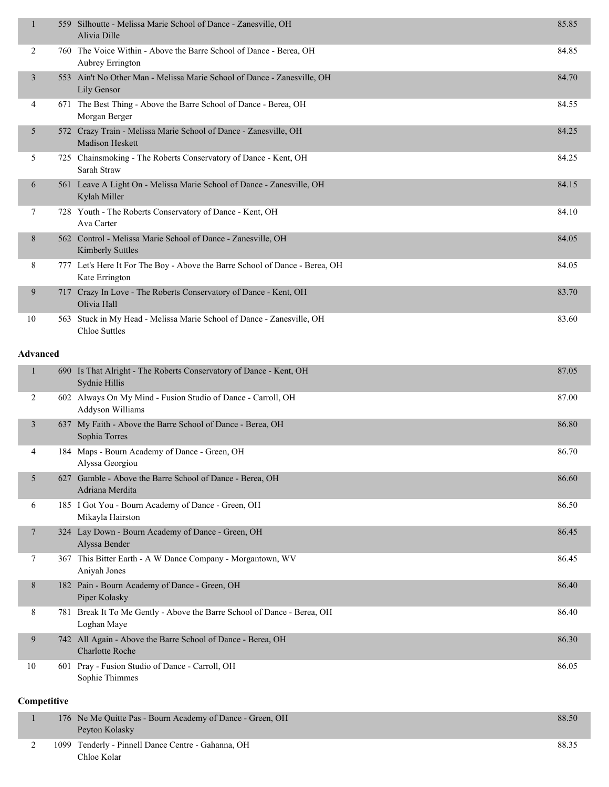| $\mathbf{1}$    | 559 Silhoutte - Melissa Marie School of Dance - Zanesville, OH<br>Alivia Dille                | 85.85 |
|-----------------|-----------------------------------------------------------------------------------------------|-------|
| 2               | 760 The Voice Within - Above the Barre School of Dance - Berea, OH<br>Aubrey Errington        | 84.85 |
| 3               | 553 Ain't No Other Man - Melissa Marie School of Dance - Zanesville, OH<br>Lily Gensor        | 84.70 |
| 4               | 671 The Best Thing - Above the Barre School of Dance - Berea, OH<br>Morgan Berger             | 84.55 |
| 5               | 572 Crazy Train - Melissa Marie School of Dance - Zanesville, OH<br><b>Madison Heskett</b>    | 84.25 |
| 5               | 725 Chainsmoking - The Roberts Conservatory of Dance - Kent, OH<br>Sarah Straw                | 84.25 |
| 6               | 561 Leave A Light On - Melissa Marie School of Dance - Zanesville, OH<br>Kylah Miller         | 84.15 |
| 7               | 728 Youth - The Roberts Conservatory of Dance - Kent, OH<br>Ava Carter                        | 84.10 |
| 8               | 562 Control - Melissa Marie School of Dance - Zanesville, OH<br>Kimberly Suttles              | 84.05 |
| 8               | 777 Let's Here It For The Boy - Above the Barre School of Dance - Berea, OH<br>Kate Errington | 84.05 |
| 9               | 717 Crazy In Love - The Roberts Conservatory of Dance - Kent, OH<br>Olivia Hall               | 83.70 |
| 10              | 563 Stuck in My Head - Melissa Marie School of Dance - Zanesville, OH<br><b>Chloe Suttles</b> | 83.60 |
| <b>Advanced</b> |                                                                                               |       |
| $\mathbf{1}$    | 690 Is That Alright - The Roberts Conservatory of Dance - Kent, OH<br>Sydnie Hillis           | 87.05 |
| 2               | 602 Always On My Mind - Fusion Studio of Dance - Carroll, OH<br>Addyson Williams              | 87.00 |
| 3               | 637 My Faith - Above the Barre School of Dance - Berea, OH<br>Sophia Torres                   | 86.80 |
| 4               | 184 Maps - Bourn Academy of Dance - Green, OH<br>Alyssa Georgiou                              | 86.70 |
| 5               | 627 Gamble - Above the Barre School of Dance - Berea, OH<br>Adriana Merdita                   | 86.60 |
| 6               | 185 I Got You - Bourn Academy of Dance - Green, OH<br>Mikayla Hairston                        | 86.50 |
| $\tau$          | 324 Lay Down - Bourn Academy of Dance - Green, OH<br>Alyssa Bender                            | 86.45 |
| 7               | 367 This Bitter Earth - A W Dance Company - Morgantown, WV<br>Aniyah Jones                    | 86.45 |
| 8               | 182 Pain - Bourn Academy of Dance - Green, OH<br>Piper Kolasky                                | 86.40 |
| 8               | 781 Break It To Me Gently - Above the Barre School of Dance - Berea, OH<br>Loghan Maye        | 86.40 |
| 9               | 742 All Again - Above the Barre School of Dance - Berea, OH<br><b>Charlotte Roche</b>         | 86.30 |
| 10              | 601 Pray - Fusion Studio of Dance - Carroll, OH<br>Sophie Thimmes                             | 86.05 |

# **Competitive**

|  | 176 Ne Me Quitte Pas - Bourn Academy of Dance - Green, OH<br>Peyton Kolasky | 88.50 |
|--|-----------------------------------------------------------------------------|-------|
|  | 1099 Tenderly - Pinnell Dance Centre - Gahanna, OH<br>Chloe Kolar           | 88.35 |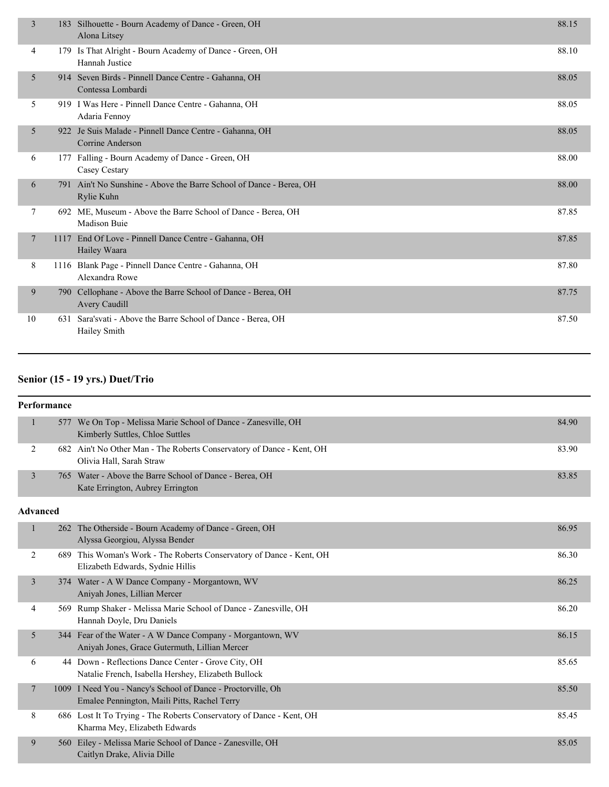| 3  | 183 Silhouette - Bourn Academy of Dance - Green, OH<br>Alona Litsey               | 88.15 |
|----|-----------------------------------------------------------------------------------|-------|
| 4  | 179 Is That Alright - Bourn Academy of Dance - Green, OH<br>Hannah Justice        | 88.10 |
| 5  | 914 Seven Birds - Pinnell Dance Centre - Gahanna, OH<br>Contessa Lombardi         | 88.05 |
| 5  | 919 I Was Here - Pinnell Dance Centre - Gahanna, OH<br>Adaria Fennoy              | 88.05 |
| 5  | 922 Je Suis Malade - Pinnell Dance Centre - Gahanna, OH<br>Corrine Anderson       | 88.05 |
| 6  | 177 Falling - Bourn Academy of Dance - Green, OH<br>Casey Cestary                 | 88.00 |
| 6  | 791 Ain't No Sunshine - Above the Barre School of Dance - Berea, OH<br>Rylie Kuhn | 88.00 |
| 7  | 692 ME, Museum - Above the Barre School of Dance - Berea, OH<br>Madison Buie      | 87.85 |
| 7  | 1117 End Of Love - Pinnell Dance Centre - Gahanna, OH<br>Hailey Waara             | 87.85 |
| 8  | 1116 Blank Page - Pinnell Dance Centre - Gahanna, OH<br>Alexandra Rowe            | 87.80 |
| 9  | 790 Cellophane - Above the Barre School of Dance - Berea, OH<br>Avery Caudill     | 87.75 |
| 10 | 631 Sara'svati - Above the Barre School of Dance - Berea, OH<br>Hailey Smith      | 87.50 |
|    |                                                                                   |       |

# **Senior (15 - 19 yrs.) Duet/Trio**

| Performance    |                                                                                                              |       |
|----------------|--------------------------------------------------------------------------------------------------------------|-------|
| $\mathbf{1}$   | 577 We On Top - Melissa Marie School of Dance - Zanesville, OH<br>Kimberly Suttles, Chloe Suttles            | 84.90 |
| 2              | 682 Ain't No Other Man - The Roberts Conservatory of Dance - Kent, OH<br>Olivia Hall, Sarah Straw            | 83.90 |
| 3              | 765 Water - Above the Barre School of Dance - Berea, OH<br>Kate Errington, Aubrey Errington                  | 83.85 |
| Advanced       |                                                                                                              |       |
| $\mathbf{1}$   | 262 The Otherside - Bourn Academy of Dance - Green, OH<br>Alyssa Georgiou, Alyssa Bender                     | 86.95 |
| 2              | 689 This Woman's Work - The Roberts Conservatory of Dance - Kent, OH<br>Elizabeth Edwards, Sydnie Hillis     | 86.30 |
| 3              | 374 Water - A W Dance Company - Morgantown, WV<br>Aniyah Jones, Lillian Mercer                               | 86.25 |
| $\overline{4}$ | 569 Rump Shaker - Melissa Marie School of Dance - Zanesville, OH<br>Hannah Doyle, Dru Daniels                | 86.20 |
| 5              | 344 Fear of the Water - A W Dance Company - Morgantown, WV<br>Aniyah Jones, Grace Gutermuth, Lillian Mercer  | 86.15 |
| 6              | 44 Down - Reflections Dance Center - Grove City, OH<br>Natalie French, Isabella Hershey, Elizabeth Bullock   | 85.65 |
| 7              | 1009 I Need You - Nancy's School of Dance - Proctorville, Oh<br>Emalee Pennington, Maili Pitts, Rachel Terry | 85.50 |
| 8              | 686 Lost It To Trying - The Roberts Conservatory of Dance - Kent, OH<br>Kharma Mey, Elizabeth Edwards        | 85.45 |
| 9              | 560 Eiley - Melissa Marie School of Dance - Zanesville, OH<br>Caitlyn Drake, Alivia Dille                    | 85.05 |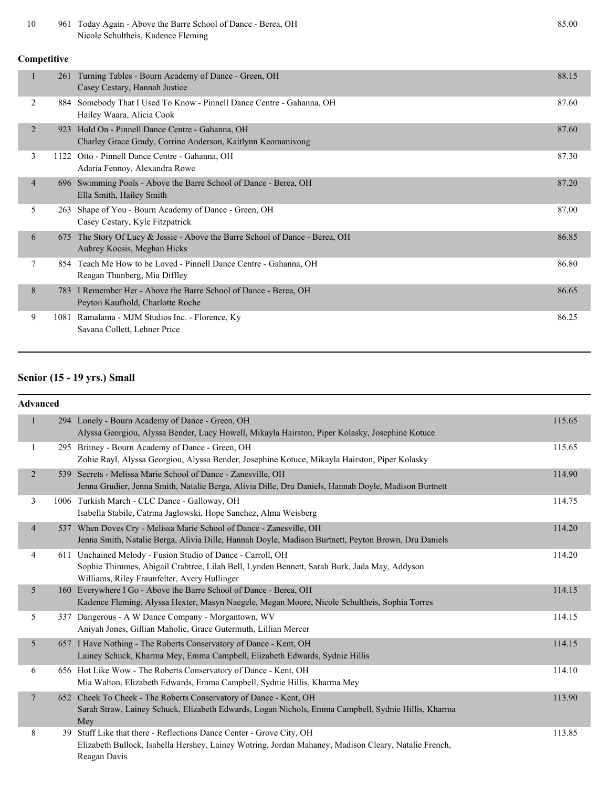| 10             |             | 961 Today Again - Above the Barre School of Dance - Berea, OH<br>Nicole Schultheis, Kadence Fleming         | 85.00 |  |  |  |  |
|----------------|-------------|-------------------------------------------------------------------------------------------------------------|-------|--|--|--|--|
|                | Competitive |                                                                                                             |       |  |  |  |  |
|                | 261         | Turning Tables - Bourn Academy of Dance - Green, OH<br>Casey Cestary, Hannah Justice                        | 88.15 |  |  |  |  |
| 2              |             | 884 Somebody That I Used To Know - Pinnell Dance Centre - Gahanna, OH<br>Hailey Waara, Alicia Cook          | 87.60 |  |  |  |  |
| $\overline{2}$ | 923         | Hold On - Pinnell Dance Centre - Gahanna, OH<br>Charley Grace Grady, Corrine Anderson, Kaitlynn Keomanivong | 87.60 |  |  |  |  |
| 3              | 1122        | Otto - Pinnell Dance Centre - Gahanna, OH<br>Adaria Fennoy, Alexandra Rowe                                  | 87.30 |  |  |  |  |
| $\overline{4}$ | 696         | Swimming Pools - Above the Barre School of Dance - Berea, OH<br>Ella Smith, Hailey Smith                    | 87.20 |  |  |  |  |
| 5              | 263         | Shape of You - Bourn Academy of Dance - Green, OH<br>Casey Cestary, Kyle Fitzpatrick                        | 87.00 |  |  |  |  |
| 6              | 675         | The Story Of Lucy & Jessie - Above the Barre School of Dance - Berea, OH<br>Aubrey Kocsis, Meghan Hicks     | 86.85 |  |  |  |  |
| 7              |             | 854 Teach Me How to be Loved - Pinnell Dance Centre - Gahanna, OH<br>Reagan Thunberg, Mia Diffley           | 86.80 |  |  |  |  |
| 8              | 783         | I Remember Her - Above the Barre School of Dance - Berea, OH<br>Peyton Kaufhold, Charlotte Roche            | 86.65 |  |  |  |  |
| 9              | 1081        | Ramalama - MJM Studios Inc. - Florence, Ky<br>Savana Collett, Lehner Price                                  | 86.25 |  |  |  |  |

# **Senior (15 - 19 yrs.) Small**

|                 | <b>Advanced</b> |                                                                                                                                                                                                            |        |
|-----------------|-----------------|------------------------------------------------------------------------------------------------------------------------------------------------------------------------------------------------------------|--------|
| $\mathbf{1}$    |                 | 294 Lonely - Bourn Academy of Dance - Green, OH<br>Alyssa Georgiou, Alyssa Bender, Lucy Howell, Mikayla Hairston, Piper Kolasky, Josephine Kotuce                                                          | 115.65 |
| 1               |                 | 295 Britney - Bourn Academy of Dance - Green, OH<br>Zohie Rayl, Alyssa Georgiou, Alyssa Bender, Josephine Kotuce, Mikayla Hairston, Piper Kolasky                                                          | 115.65 |
| 2               |                 | 539 Secrets - Melissa Marie School of Dance - Zanesville, OH<br>Jenna Grudier, Jenna Smith, Natalie Berga, Alivia Dille, Dru Daniels, Hannah Doyle, Madison Burtnett                                       | 114.90 |
| 3               |                 | 1006 Turkish March - CLC Dance - Galloway, OH<br>Isabella Stabile, Catrina Jaglowski, Hope Sanchez, Alma Weisberg                                                                                          | 114.75 |
| $\overline{4}$  |                 | 537 When Doves Cry - Melissa Marie School of Dance - Zanesville, OH<br>Jenna Smith, Natalie Berga, Alivia Dille, Hannah Doyle, Madison Burtnett, Peyton Brown, Dru Daniels                                 | 114.20 |
| 4               |                 | 611 Unchained Melody - Fusion Studio of Dance - Carroll, OH<br>Sophie Thimmes, Abigail Crabtree, Lilah Bell, Lynden Bennett, Sarah Burk, Jada May, Addyson<br>Williams, Riley Fraunfelter, Avery Hullinger | 114.20 |
| 5               |                 | 160 Everywhere I Go - Above the Barre School of Dance - Berea, OH<br>Kadence Fleming, Alyssa Hexter, Masyn Naegele, Megan Moore, Nicole Schultheis, Sophia Torres                                          | 114.15 |
| 5               |                 | 337 Dangerous - A W Dance Company - Morgantown, WV<br>Aniyah Jones, Gillian Maholic, Grace Gutermuth, Lillian Mercer                                                                                       | 114.15 |
| $5\overline{)}$ |                 | 657 I Have Nothing - The Roberts Conservatory of Dance - Kent, OH<br>Lainey Schuck, Kharma Mey, Emma Campbell, Elizabeth Edwards, Sydnie Hillis                                                            | 114.15 |
| 6               |                 | 656 Hot Like Wow - The Roberts Conservatory of Dance - Kent, OH<br>Mia Walton, Elizabeth Edwards, Emma Campbell, Sydnie Hillis, Kharma Mey                                                                 | 114.10 |
| $7\phantom{.0}$ |                 | 652 Cheek To Cheek - The Roberts Conservatory of Dance - Kent, OH<br>Sarah Straw, Lainey Schuck, Elizabeth Edwards, Logan Nichols, Emma Campbell, Sydnie Hillis, Kharma<br>Mey                             | 113.90 |
| 8               |                 | 39 Stuff Like that there - Reflections Dance Center - Grove City, OH<br>Elizabeth Bullock, Isabella Hershey, Lainey Wotring, Jordan Mahaney, Madison Cleary, Natalie French,<br>Reagan Davis               | 113.85 |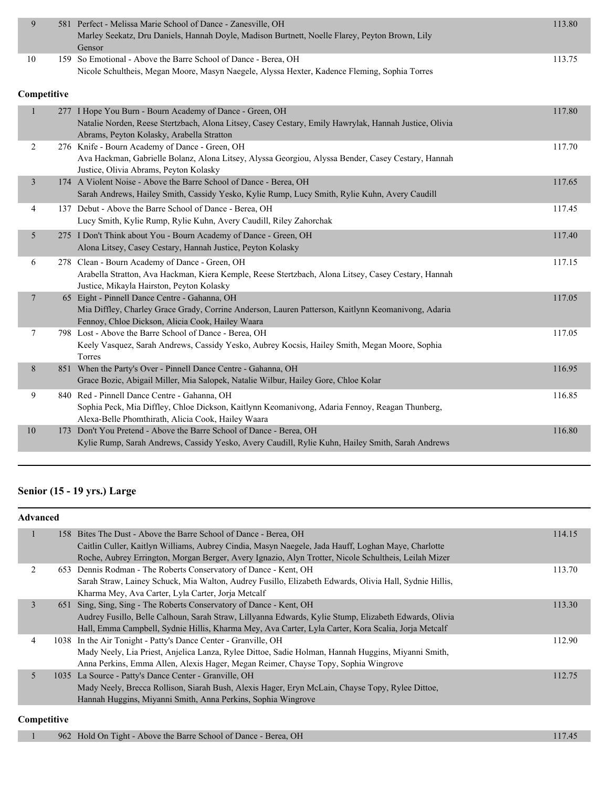| 9              | 581 Perfect - Melissa Marie School of Dance - Zanesville, OH                                          | 113.80 |
|----------------|-------------------------------------------------------------------------------------------------------|--------|
|                | Marley Seekatz, Dru Daniels, Hannah Doyle, Madison Burtnett, Noelle Flarey, Peyton Brown, Lily        |        |
|                | Gensor                                                                                                |        |
| 10             | 159 So Emotional - Above the Barre School of Dance - Berea, OH                                        | 113.75 |
|                | Nicole Schultheis, Megan Moore, Masyn Naegele, Alyssa Hexter, Kadence Fleming, Sophia Torres          |        |
|                |                                                                                                       |        |
| Competitive    |                                                                                                       |        |
| $\mathbf{1}$   | 277 I Hope You Burn - Bourn Academy of Dance - Green, OH                                              | 117.80 |
|                | Natalie Norden, Reese Stertzbach, Alona Litsey, Casey Cestary, Emily Hawrylak, Hannah Justice, Olivia |        |
|                | Abrams, Peyton Kolasky, Arabella Stratton                                                             |        |
| 2              | 276 Knife - Bourn Academy of Dance - Green, OH                                                        | 117.70 |
|                | Ava Hackman, Gabrielle Bolanz, Alona Litsey, Alyssa Georgiou, Alyssa Bender, Casey Cestary, Hannah    |        |
|                | Justice, Olivia Abrams, Peyton Kolasky                                                                |        |
| $\overline{3}$ | 174 A Violent Noise - Above the Barre School of Dance - Berea, OH                                     | 117.65 |
|                | Sarah Andrews, Hailey Smith, Cassidy Yesko, Kylie Rump, Lucy Smith, Rylie Kuhn, Avery Caudill         |        |
| 4              | 137 Debut - Above the Barre School of Dance - Berea, OH                                               | 117.45 |
|                | Lucy Smith, Kylie Rump, Rylie Kuhn, Avery Caudill, Riley Zahorchak                                    |        |
| 5              | 275 I Don't Think about You - Bourn Academy of Dance - Green, OH                                      | 117.40 |
|                | Alona Litsey, Casey Cestary, Hannah Justice, Peyton Kolasky                                           |        |
| 6              | 278 Clean - Bourn Academy of Dance - Green, OH                                                        | 117.15 |
|                | Arabella Stratton, Ava Hackman, Kiera Kemple, Reese Stertzbach, Alona Litsey, Casey Cestary, Hannah   |        |
|                | Justice, Mikayla Hairston, Peyton Kolasky                                                             |        |
| $\overline{7}$ | 65 Eight - Pinnell Dance Centre - Gahanna, OH                                                         | 117.05 |
|                | Mia Diffley, Charley Grace Grady, Corrine Anderson, Lauren Patterson, Kaitlynn Keomanivong, Adaria    |        |
|                | Fennoy, Chloe Dickson, Alicia Cook, Hailey Waara                                                      |        |
| 7              | 798 Lost - Above the Barre School of Dance - Berea, OH                                                | 117.05 |
|                | Keely Vasquez, Sarah Andrews, Cassidy Yesko, Aubrey Kocsis, Hailey Smith, Megan Moore, Sophia         |        |
|                | Torres                                                                                                |        |
| 8              | 851 When the Party's Over - Pinnell Dance Centre - Gahanna, OH                                        | 116.95 |
|                | Grace Bozic, Abigail Miller, Mia Salopek, Natalie Wilbur, Hailey Gore, Chloe Kolar                    |        |
| 9              | 840 Red - Pinnell Dance Centre - Gahanna, OH                                                          | 116.85 |
|                | Sophia Peck, Mia Diffley, Chloe Dickson, Kaitlynn Keomanivong, Adaria Fennoy, Reagan Thunberg,        |        |
|                | Alexa-Belle Phomthirath, Alicia Cook, Hailey Waara                                                    |        |
| $10\,$         | 173 Don't You Pretend - Above the Barre School of Dance - Berea, OH                                   | 116.80 |
|                | Kylie Rump, Sarah Andrews, Cassidy Yesko, Avery Caudill, Rylie Kuhn, Hailey Smith, Sarah Andrews      |        |
|                |                                                                                                       |        |

# **Senior (15 - 19 yrs.) Large**

| <b>Advanced</b> |                                                                                                        |        |
|-----------------|--------------------------------------------------------------------------------------------------------|--------|
| ٠               | 158 Bites The Dust - Above the Barre School of Dance - Berea, OH                                       | 114.15 |
|                 | Caitlin Culler, Kaitlyn Williams, Aubrey Cindia, Masyn Naegele, Jada Hauff, Loghan Maye, Charlotte     |        |
|                 | Roche, Aubrey Errington, Morgan Berger, Avery Ignazio, Alyn Trotter, Nicole Schultheis, Leilah Mizer   |        |
| $\mathfrak{D}$  | 653 Dennis Rodman - The Roberts Conservatory of Dance - Kent, OH                                       | 113.70 |
|                 | Sarah Straw, Lainey Schuck, Mia Walton, Audrey Fusillo, Elizabeth Edwards, Olivia Hall, Sydnie Hillis, |        |
|                 | Kharma Mey, Ava Carter, Lyla Carter, Jorja Metcalf                                                     |        |
| 3               | 651 Sing, Sing, Sing - The Roberts Conservatory of Dance - Kent, OH                                    | 113.30 |
|                 | Audrey Fusillo, Belle Calhoun, Sarah Straw, Lillyanna Edwards, Kylie Stump, Elizabeth Edwards, Olivia  |        |
|                 | Hall, Emma Campbell, Sydnie Hillis, Kharma Mey, Ava Carter, Lyla Carter, Kora Scalia, Jorja Metcalf    |        |
| 4               | 1038 In the Air Tonight - Patty's Dance Center - Granville, OH                                         | 112.90 |
|                 | Mady Neely, Lia Priest, Anjelica Lanza, Rylee Dittoe, Sadie Holman, Hannah Huggins, Miyanni Smith,     |        |
|                 | Anna Perkins, Emma Allen, Alexis Hager, Megan Reimer, Chayse Topy, Sophia Wingrove                     |        |
| 5               | 1035 La Source - Patty's Dance Center - Granville, OH                                                  | 112.75 |
|                 | Mady Neely, Brecca Rollison, Siarah Bush, Alexis Hager, Eryn McLain, Chayse Topy, Rylee Dittoe,        |        |
|                 | Hannah Huggins, Miyanni Smith, Anna Perkins, Sophia Wingrove                                           |        |
|                 |                                                                                                        |        |

# **Competitive**

1 962 Hold On Tight - Above the Barre School of Dance - Berea, OH 117.45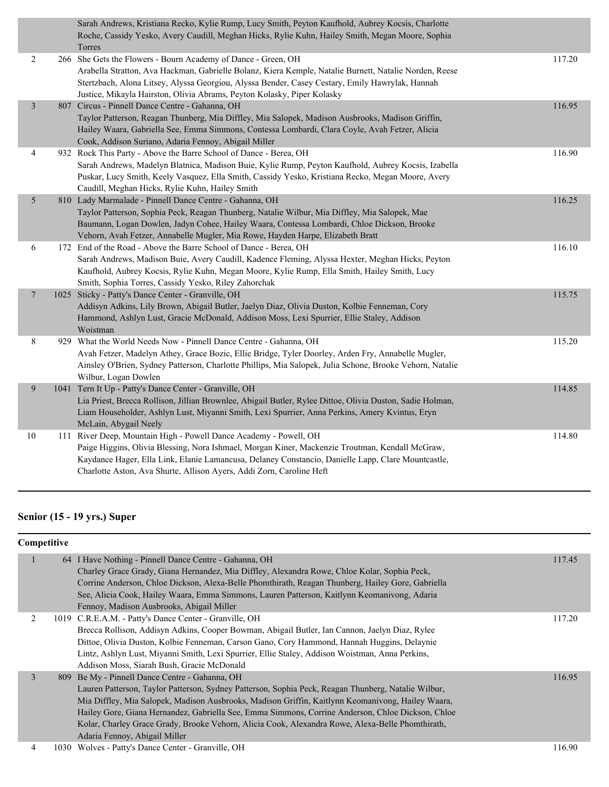| Sarah Andrews, Kristiana Recko, Kylie Rump, Lucy Smith, Peyton Kaufhold, Aubrey Kocsis, Charlotte<br>Roche, Cassidy Yesko, Avery Caudill, Meghan Hicks, Rylie Kuhn, Hailey Smith, Megan Moore, Sophia<br>Torres<br>2<br>266 She Gets the Flowers - Bourn Academy of Dance - Green, OH                                                                    | 117.20 |
|----------------------------------------------------------------------------------------------------------------------------------------------------------------------------------------------------------------------------------------------------------------------------------------------------------------------------------------------------------|--------|
|                                                                                                                                                                                                                                                                                                                                                          |        |
| Arabella Stratton, Ava Hackman, Gabrielle Bolanz, Kiera Kemple, Natalie Burnett, Natalie Norden, Reese<br>Stertzbach, Alona Litsey, Alyssa Georgiou, Alyssa Bender, Casey Cestary, Emily Hawrylak, Hannah<br>Justice, Mikayla Hairston, Olivia Abrams, Peyton Kolasky, Piper Kolasky                                                                     |        |
| $\overline{3}$<br>807 Circus - Pinnell Dance Centre - Gahanna, OH<br>Taylor Patterson, Reagan Thunberg, Mia Diffley, Mia Salopek, Madison Ausbrooks, Madison Griffin,<br>Hailey Waara, Gabriella See, Emma Simmons, Contessa Lombardi, Clara Coyle, Avah Fetzer, Alicia<br>Cook, Addison Suriano, Adaria Fennoy, Abigail Miller                          | 116.95 |
| 932 Rock This Party - Above the Barre School of Dance - Berea, OH<br>4<br>Sarah Andrews, Madelyn Blatnica, Madison Buie, Kylie Rump, Peyton Kaufhold, Aubrey Kocsis, Izabella<br>Puskar, Lucy Smith, Keely Vasquez, Ella Smith, Cassidy Yesko, Kristiana Recko, Megan Moore, Avery<br>Caudill, Meghan Hicks, Rylie Kuhn, Hailey Smith                    | 116.90 |
| 5<br>810 Lady Marmalade - Pinnell Dance Centre - Gahanna, OH<br>Taylor Patterson, Sophia Peck, Reagan Thunberg, Natalie Wilbur, Mia Diffley, Mia Salopek, Mae<br>Baumann, Logan Dowlen, Jadyn Cohee, Hailey Waara, Contessa Lombardi, Chloe Dickson, Brooke<br>Vehorn, Avah Fetzer, Annabelle Mugler, Mia Rowe, Hayden Harpe, Elizabeth Bratt            | 116.25 |
| 6<br>172 End of the Road - Above the Barre School of Dance - Berea, OH<br>Sarah Andrews, Madison Buie, Avery Caudill, Kadence Fleming, Alyssa Hexter, Meghan Hicks, Peyton<br>Kaufhold, Aubrey Kocsis, Rylie Kuhn, Megan Moore, Kylie Rump, Ella Smith, Hailey Smith, Lucy<br>Smith, Sophia Torres, Cassidy Yesko, Riley Zahorchak                       | 116.10 |
| $\overline{7}$<br>1025 Sticky - Patty's Dance Center - Granville, OH<br>Addisyn Adkins, Lily Brown, Abigail Butler, Jaelyn Diaz, Olivia Duston, Kolbie Fenneman, Cory<br>Hammond, Ashlyn Lust, Gracie McDonald, Addison Moss, Lexi Spurrier, Ellie Staley, Addison<br>Woistman                                                                           | 115.75 |
| 8<br>929 What the World Needs Now - Pinnell Dance Centre - Gahanna, OH<br>Avah Fetzer, Madelyn Athey, Grace Bozic, Ellie Bridge, Tyler Doorley, Arden Fry, Annabelle Mugler,<br>Ainsley O'Brien, Sydney Patterson, Charlotte Phillips, Mia Salopek, Julia Schone, Brooke Vehorn, Natalie<br>Wilbur, Logan Dowlen                                         | 115.20 |
| 9<br>1041 Tern It Up - Patty's Dance Center - Granville, OH<br>Lia Priest, Brecca Rollison, Jillian Brownlee, Abigail Butler, Rylee Dittoe, Olivia Duston, Sadie Holman,<br>Liam Householder, Ashlyn Lust, Miyanni Smith, Lexi Spurrier, Anna Perkins, Amery Kvintus, Eryn<br>McLain, Abygail Neely                                                      | 114.85 |
| 111 River Deep, Mountain High - Powell Dance Academy - Powell, OH<br>10<br>Paige Higgins, Olivia Blessing, Nora Ishmael, Morgan Kiner, Mackenzie Troutman, Kendall McGraw,<br>Kaydance Hager, Ella Link, Elanie Lamancusa, Delaney Constancio, Danielle Lapp, Clare Mountcastle,<br>Charlotte Aston, Ava Shurte, Allison Ayers, Addi Zorn, Caroline Heft | 114.80 |

# **Senior (15 - 19 yrs.) Super**

# **Competitive**

|               | 64 I Have Nothing - Pinnell Dance Centre - Gahanna, OH                                              | 117.45 |
|---------------|-----------------------------------------------------------------------------------------------------|--------|
|               | Charley Grace Grady, Giana Hernandez, Mia Diffley, Alexandra Rowe, Chloe Kolar, Sophia Peck,        |        |
|               | Corrine Anderson, Chloe Dickson, Alexa-Belle Phomthirath, Reagan Thunberg, Hailey Gore, Gabriella   |        |
|               | See, Alicia Cook, Hailey Waara, Emma Simmons, Lauren Patterson, Kaitlynn Keomanivong, Adaria        |        |
|               | Fennoy, Madison Ausbrooks, Abigail Miller                                                           |        |
| 2             | 1019 C.R.E.A.M. - Patty's Dance Center - Granville, OH                                              | 117.20 |
|               | Brecca Rollison, Addisyn Adkins, Cooper Bowman, Abigail Butler, Ian Cannon, Jaelyn Diaz, Rylee      |        |
|               | Dittoe, Olivia Duston, Kolbie Fenneman, Carson Gano, Cory Hammond, Hannah Huggins, Delaynie         |        |
|               | Lintz, Ashlyn Lust, Miyanni Smith, Lexi Spurrier, Ellie Staley, Addison Woistman, Anna Perkins,     |        |
|               | Addison Moss, Siarah Bush, Gracie McDonald                                                          |        |
| $\mathcal{E}$ | 809 Be My - Pinnell Dance Centre - Gahanna, OH                                                      | 116.95 |
|               | Lauren Patterson, Taylor Patterson, Sydney Patterson, Sophia Peck, Reagan Thunberg, Natalie Wilbur, |        |
|               | Mia Diffley, Mia Salopek, Madison Ausbrooks, Madison Griffin, Kaitlynn Keomanivong, Hailey Waara,   |        |
|               | Hailey Gore, Giana Hernandez, Gabriella See, Emma Simmons, Corrine Anderson, Chloe Dickson, Chloe   |        |
|               | Kolar, Charley Grace Grady, Brooke Vehorn, Alicia Cook, Alexandra Rowe, Alexa-Belle Phomthirath,    |        |
|               | Adaria Fennoy, Abigail Miller                                                                       |        |